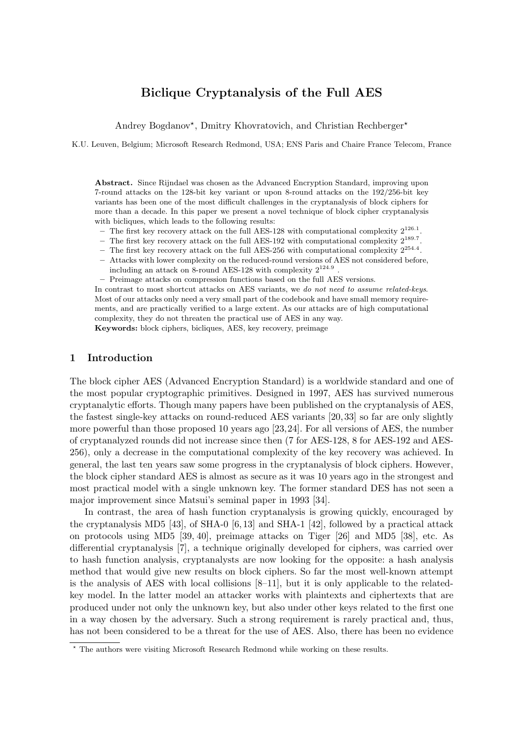# Biclique Cryptanalysis of the Full AES

Andrey Bogdanov<sup>\*</sup>, Dmitry Khovratovich, and Christian Rechberger<sup>\*</sup>

K.U. Leuven, Belgium; Microsoft Research Redmond, USA; ENS Paris and Chaire France Telecom, France

Abstract. Since Rijndael was chosen as the Advanced Encryption Standard, improving upon 7-round attacks on the 128-bit key variant or upon 8-round attacks on the 192/256-bit key variants has been one of the most difficult challenges in the cryptanalysis of block ciphers for more than a decade. In this paper we present a novel technique of block cipher cryptanalysis with bicliques, which leads to the following results:

- The first key recovery attack on the full AES-128 with computational complexity  $2^{126.1}$ .
- The first key recovery attack on the full AES-192 with computational complexity  $2^{189.7}$ .
- The first key recovery attack on the full AES-256 with computational complexity  $2^{254.4}$ .
- Attacks with lower complexity on the reduced-round versions of AES not considered before, including an attack on 8-round AES-128 with complexity  $2^{124.9}$ .
- Preimage attacks on compression functions based on the full AES versions.

In contrast to most shortcut attacks on AES variants, we *do not need to assume related-keys*. Most of our attacks only need a very small part of the codebook and have small memory requirements, and are practically verified to a large extent. As our attacks are of high computational complexity, they do not threaten the practical use of AES in any way.

Keywords: block ciphers, bicliques, AES, key recovery, preimage

#### 1 Introduction

The block cipher AES (Advanced Encryption Standard) is a worldwide standard and one of the most popular cryptographic primitives. Designed in 1997, AES has survived numerous cryptanalytic efforts. Though many papers have been published on the cryptanalysis of AES, the fastest single-key attacks on round-reduced AES variants [20, 33] so far are only slightly more powerful than those proposed 10 years ago [23,24]. For all versions of AES, the number of cryptanalyzed rounds did not increase since then (7 for AES-128, 8 for AES-192 and AES-256), only a decrease in the computational complexity of the key recovery was achieved. In general, the last ten years saw some progress in the cryptanalysis of block ciphers. However, the block cipher standard AES is almost as secure as it was 10 years ago in the strongest and most practical model with a single unknown key. The former standard DES has not seen a major improvement since Matsui's seminal paper in 1993 [34].

In contrast, the area of hash function cryptanalysis is growing quickly, encouraged by the cryptanalysis MD5 [43], of SHA-0 [6, 13] and SHA-1 [42], followed by a practical attack on protocols using MD5 [39, 40], preimage attacks on Tiger [26] and MD5 [38], etc. As differential cryptanalysis [7], a technique originally developed for ciphers, was carried over to hash function analysis, cryptanalysts are now looking for the opposite: a hash analysis method that would give new results on block ciphers. So far the most well-known attempt is the analysis of AES with local collisions  $[8-11]$ , but it is only applicable to the relatedkey model. In the latter model an attacker works with plaintexts and ciphertexts that are produced under not only the unknown key, but also under other keys related to the first one in a way chosen by the adversary. Such a strong requirement is rarely practical and, thus, has not been considered to be a threat for the use of AES. Also, there has been no evidence

<sup>⋆</sup> The authors were visiting Microsoft Research Redmond while working on these results.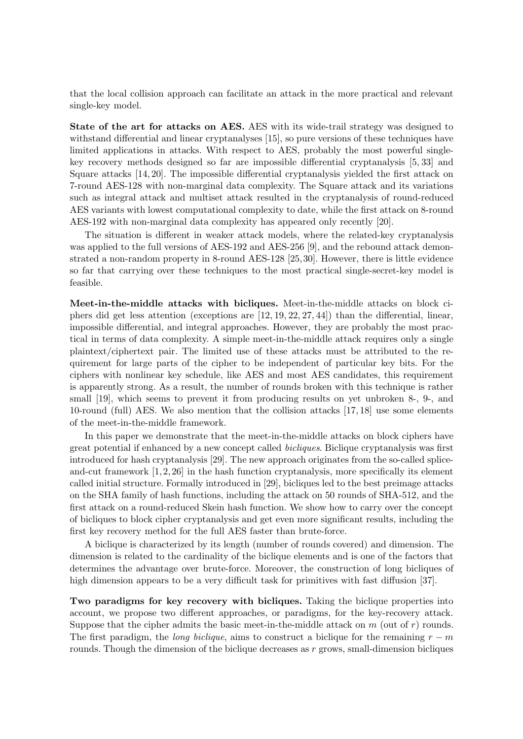that the local collision approach can facilitate an attack in the more practical and relevant single-key model.

State of the art for attacks on AES. AES with its wide-trail strategy was designed to withstand differential and linear cryptanalyses [15], so pure versions of these techniques have limited applications in attacks. With respect to AES, probably the most powerful singlekey recovery methods designed so far are impossible differential cryptanalysis [5, 33] and Square attacks [14, 20]. The impossible differential cryptanalysis yielded the first attack on 7-round AES-128 with non-marginal data complexity. The Square attack and its variations such as integral attack and multiset attack resulted in the cryptanalysis of round-reduced AES variants with lowest computational complexity to date, while the first attack on 8-round AES-192 with non-marginal data complexity has appeared only recently [20].

The situation is different in weaker attack models, where the related-key cryptanalysis was applied to the full versions of AES-192 and AES-256 [9], and the rebound attack demonstrated a non-random property in 8-round AES-128 [25,30]. However, there is little evidence so far that carrying over these techniques to the most practical single-secret-key model is feasible.

Meet-in-the-middle attacks with bicliques. Meet-in-the-middle attacks on block ciphers did get less attention (exceptions are [12, 19, 22, 27, 44]) than the differential, linear, impossible differential, and integral approaches. However, they are probably the most practical in terms of data complexity. A simple meet-in-the-middle attack requires only a single plaintext/ciphertext pair. The limited use of these attacks must be attributed to the requirement for large parts of the cipher to be independent of particular key bits. For the ciphers with nonlinear key schedule, like AES and most AES candidates, this requirement is apparently strong. As a result, the number of rounds broken with this technique is rather small [19], which seems to prevent it from producing results on yet unbroken 8-, 9-, and 10-round (full) AES. We also mention that the collision attacks [17, 18] use some elements of the meet-in-the-middle framework.

In this paper we demonstrate that the meet-in-the-middle attacks on block ciphers have great potential if enhanced by a new concept called bicliques. Biclique cryptanalysis was first introduced for hash cryptanalysis [29]. The new approach originates from the so-called spliceand-cut framework  $[1, 2, 26]$  in the hash function cryptanalysis, more specifically its element called initial structure. Formally introduced in [29], bicliques led to the best preimage attacks on the SHA family of hash functions, including the attack on 50 rounds of SHA-512, and the first attack on a round-reduced Skein hash function. We show how to carry over the concept of bicliques to block cipher cryptanalysis and get even more significant results, including the first key recovery method for the full AES faster than brute-force.

A biclique is characterized by its length (number of rounds covered) and dimension. The dimension is related to the cardinality of the biclique elements and is one of the factors that determines the advantage over brute-force. Moreover, the construction of long bicliques of high dimension appears to be a very difficult task for primitives with fast diffusion [37].

Two paradigms for key recovery with bicliques. Taking the biclique properties into account, we propose two different approaches, or paradigms, for the key-recovery attack. Suppose that the cipher admits the basic meet-in-the-middle attack on  $m$  (out of  $r$ ) rounds. The first paradigm, the *long biclique*, aims to construct a biclique for the remaining  $r - m$ rounds. Though the dimension of the biclique decreases as  $r$  grows, small-dimension bicliques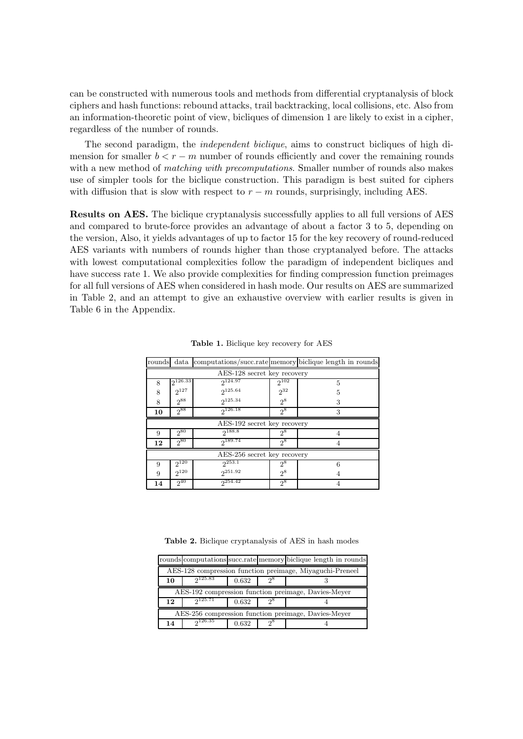can be constructed with numerous tools and methods from differential cryptanalysis of block ciphers and hash functions: rebound attacks, trail backtracking, local collisions, etc. Also from an information-theoretic point of view, bicliques of dimension 1 are likely to exist in a cipher, regardless of the number of rounds.

The second paradigm, the independent biclique, aims to construct bicliques of high dimension for smaller  $b < r - m$  number of rounds efficiently and cover the remaining rounds with a new method of *matching with precomputations*. Smaller number of rounds also makes use of simpler tools for the biclique construction. This paradigm is best suited for ciphers with diffusion that is slow with respect to  $r - m$  rounds, surprisingly, including AES.

Results on AES. The biclique cryptanalysis successfully applies to all full versions of AES and compared to brute-force provides an advantage of about a factor 3 to 5, depending on the version, Also, it yields advantages of up to factor 15 for the key recovery of round-reduced AES variants with numbers of rounds higher than those cryptanalyed before. The attacks with lowest computational complexities follow the paradigm of independent bicliques and have success rate 1. We also provide complexities for finding compression function preimages for all full versions of AES when considered in hash mode. Our results on AES are summarized in Table 2, and an attempt to give an exhaustive overview with earlier results is given in Table 6 in the Appendix.

| rounds                      | data                        |              |           | computations/succ.rate memory biclique length in rounds |  |  |  |  |  |
|-----------------------------|-----------------------------|--------------|-----------|---------------------------------------------------------|--|--|--|--|--|
|                             | AES-128 secret key recovery |              |           |                                                         |  |  |  |  |  |
| 8                           | $2^{126.33}$                | $2^{124.97}$ | $2^{102}$ | 5                                                       |  |  |  |  |  |
| 8                           | $2^{127}$                   | $2^{125.64}$ | $2^{32}$  | 5                                                       |  |  |  |  |  |
| 8                           | $2^{88}$                    | 2125.34      | $2^8$     | 3                                                       |  |  |  |  |  |
| 10                          | $2^{88}$                    | 2126.18      | $2^8$     | 3                                                       |  |  |  |  |  |
| AES-192 secret key recovery |                             |              |           |                                                         |  |  |  |  |  |
| 9                           | $2^{80}$                    | $2^{188.8}$  | $2^8$     |                                                         |  |  |  |  |  |
| 12                          | 280                         | $2^{189.74}$ | $2^8$     |                                                         |  |  |  |  |  |
| AES-256 secret key recovery |                             |              |           |                                                         |  |  |  |  |  |
| 9                           | $2^{120}$                   | $2^{253.1}$  | $2^8$     | 6                                                       |  |  |  |  |  |
| 9                           | $2^{120}$                   | $2^{251.92}$ | $2^8$     |                                                         |  |  |  |  |  |
| 14                          | $2^{40}$                    | $2^{254.42}$ | $2^8$     |                                                         |  |  |  |  |  |

Table 1. Biclique key recovery for AES

Table 2. Biclique cryptanalysis of AES in hash modes

|                                                          |         |       |       | rounds computations succ.rate memory biclique length in rounds |  |  |  |  |
|----------------------------------------------------------|---------|-------|-------|----------------------------------------------------------------|--|--|--|--|
| AES-128 compression function preimage, Miyaguchi-Preneel |         |       |       |                                                                |  |  |  |  |
| 10                                                       | 2125.83 | 0.632 | റ്    |                                                                |  |  |  |  |
|                                                          |         |       |       | AES-192 compression function preimage, Davies-Meyer            |  |  |  |  |
| 12                                                       | 2125.71 | 0.632 | $2^8$ |                                                                |  |  |  |  |
| AES-256 compression function preimage, Davies-Meyer      |         |       |       |                                                                |  |  |  |  |
|                                                          |         |       |       |                                                                |  |  |  |  |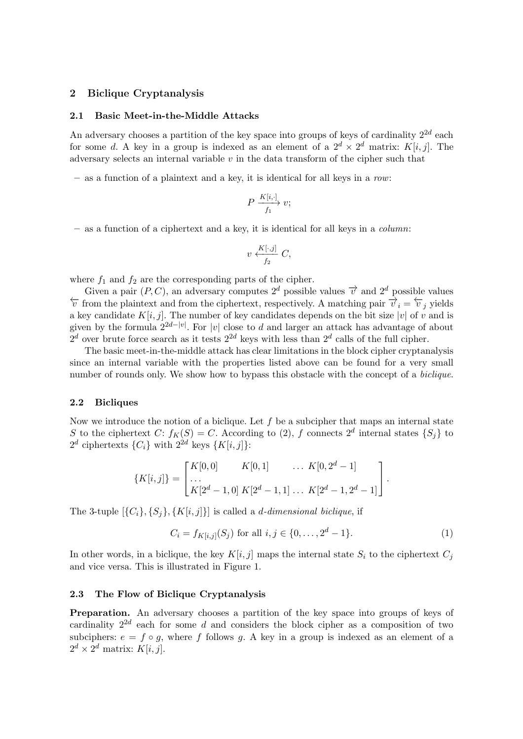#### 2 Biclique Cryptanalysis

#### 2.1 Basic Meet-in-the-Middle Attacks

An adversary chooses a partition of the key space into groups of keys of cardinality  $2^{2d}$  each for some d. A key in a group is indexed as an element of a  $2^d \times 2^d$  matrix:  $K[i, j]$ . The adversary selects an internal variable  $v$  in the data transform of the cipher such that

 $-$  as a function of a plaintext and a key, it is identical for all keys in a row:

$$
P \xrightarrow{K[i,\cdot]} v;
$$

 $-$  as a function of a ciphertext and a key, it is identical for all keys in a *column*:

$$
v \xleftarrow[f_2]{K[\cdot,j]} C,
$$

where  $f_1$  and  $f_2$  are the corresponding parts of the cipher.

Given a pair  $(P, C)$ , an adversary computes  $2^d$  possible values  $\vec{v}$  and  $2^d$  possible values  $\overleftarrow{v}$  from the plaintext and from the ciphertext, respectively. A matching pair  $\overrightarrow{v}_i = \overleftarrow{v}_i$  yields a key candidate  $K[i, j]$ . The number of key candidates depends on the bit size  $|v|$  of v and is given by the formula  $2^{2d-|v|}$ . For  $|v|$  close to d and larger an attack has advantage of about  $2^d$  over brute force search as it tests  $2^{2d}$  keys with less than  $2^d$  calls of the full cipher.

The basic meet-in-the-middle attack has clear limitations in the block cipher cryptanalysis since an internal variable with the properties listed above can be found for a very small number of rounds only. We show how to bypass this obstacle with the concept of a *biclique*.

#### 2.2 Bicliques

Now we introduce the notion of a biclique. Let  $f$  be a subcipher that maps an internal state S to the ciphertext C:  $f_K(S) = C$ . According to (2), f connects  $2^d$  internal states  $\{S_j\}$  to  $2^d$  ciphertexts  $\{C_i\}$  with  $2^{2d}$  keys  $\{K[i,j]\}$ :

$$
\{K[i,j]\} = \begin{bmatrix} K[0,0] & K[0,1] & \dots & K[0,2^d-1] \\ \dots & & & \\ K[2^d-1,0] & K[2^d-1,1] & \dots & K[2^d-1,2^d-1] \end{bmatrix}.
$$

The 3-tuple  $[\{C_i\}, \{S_j\}, \{K[i, j]\}]$  is called a *d*-dimensional biclique, if

$$
C_i = f_{K[i,j]}(S_j) \text{ for all } i, j \in \{0, \dots, 2^d - 1\}.
$$
 (1)

In other words, in a biclique, the key  $K[i, j]$  maps the internal state  $S_i$  to the ciphertext  $C_j$ and vice versa. This is illustrated in Figure 1.

#### 2.3 The Flow of Biclique Cryptanalysis

Preparation. An adversary chooses a partition of the key space into groups of keys of cardinality  $2^{2d}$  each for some d and considers the block cipher as a composition of two subciphers:  $e = f \circ g$ , where f follows g. A key in a group is indexed as an element of a  $2^d \times 2^d$  matrix:  $K[i, j]$ .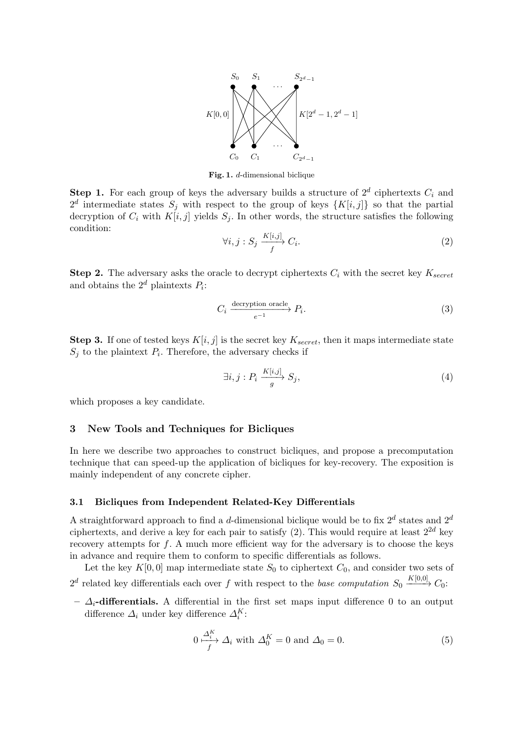

Fig. 1. d-dimensional biclique

**Step 1.** For each group of keys the adversary builds a structure of  $2^d$  ciphertexts  $C_i$  and  $2^d$  intermediate states  $S_j$  with respect to the group of keys  $\{K[i,j]\}$  so that the partial decryption of  $C_i$  with  $K[i, j]$  yields  $S_j$ . In other words, the structure satisfies the following condition:

$$
\forall i, j : S_j \xrightarrow{K[i,j]} C_i. \tag{2}
$$

**Step 2.** The adversary asks the oracle to decrypt ciphertexts  $C_i$  with the secret key  $K_{secret}$ and obtains the  $2^d$  plaintexts  $P_i$ :

$$
C_i \xrightarrow{decryption oracle} P_i.
$$
\n
$$
(3)
$$

**Step 3.** If one of tested keys  $K[i, j]$  is the secret key  $K_{secret}$ , then it maps intermediate state  $S_j$  to the plaintext  $P_i$ . Therefore, the adversary checks if

$$
\exists i, j : P_i \xrightarrow{K[i,j]} S_j,
$$
\n
$$
(4)
$$

which proposes a key candidate.

# 3 New Tools and Techniques for Bicliques

In here we describe two approaches to construct bicliques, and propose a precomputation technique that can speed-up the application of bicliques for key-recovery. The exposition is mainly independent of any concrete cipher.

#### 3.1 Bicliques from Independent Related-Key Differentials

A straightforward approach to find a *d*-dimensional biclique would be to fix  $2^d$  states and  $2^d$ ciphertexts, and derive a key for each pair to satisfy (2). This would require at least  $2^{2d}$  key recovery attempts for  $f$ . A much more efficient way for the adversary is to choose the keys in advance and require them to conform to specific differentials as follows.

Let the key  $K[0, 0]$  map intermediate state  $S_0$  to ciphertext  $C_0$ , and consider two sets of  $2^d$  related key differentials each over f with respect to the base computation  $S_0 \xrightarrow{K[0,0]} C_0$ :

–  $\Delta_i$ -differentials. A differential in the first set maps input difference 0 to an output difference  $\varDelta_i$  under key difference  $\varDelta_i^K$ :

$$
0 \xrightarrow{A_i^K} \Delta_i \text{ with } \Delta_0^K = 0 \text{ and } \Delta_0 = 0. \tag{5}
$$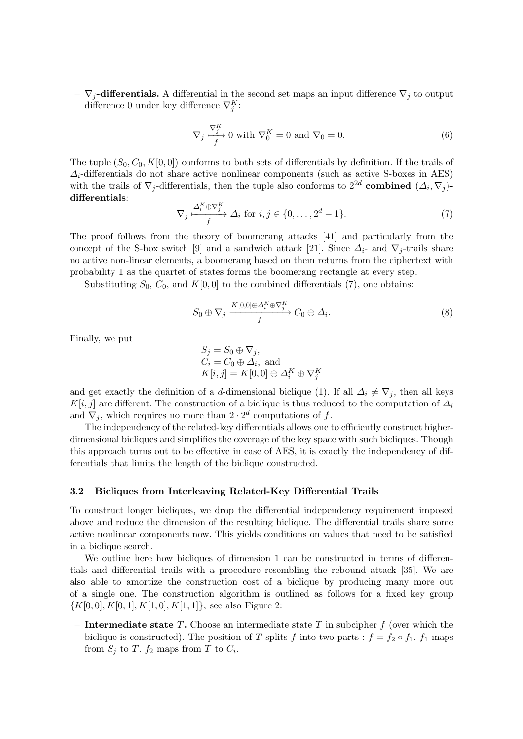$-\nabla_i$ -differentials. A differential in the second set maps an input difference  $\nabla_i$  to output difference 0 under key difference  $\nabla_j^K$ :

$$
\nabla_j \xrightarrow{ \nabla_j^K} 0 \text{ with } \nabla_0^K = 0 \text{ and } \nabla_0 = 0. \tag{6}
$$

The tuple  $(S_0, C_0, K[0, 0])$  conforms to both sets of differentials by definition. If the trails of  $\Delta_i$ -differentials do not share active nonlinear components (such as active S-boxes in AES) with the trails of  $\nabla_j$ -differentials, then the tuple also conforms to  $2^{2d}$  combined  $(\Delta_i, \nabla_j)$ differentials:

$$
\nabla_j \xrightarrow{A_i^K \oplus \nabla_j^K} \Delta_i \text{ for } i, j \in \{0, \dots, 2^d - 1\}.
$$
 (7)

The proof follows from the theory of boomerang attacks [41] and particularly from the concept of the S-box switch [9] and a sandwich attack [21]. Since  $\Delta_i$ - and  $\nabla_j$ -trails share no active non-linear elements, a boomerang based on them returns from the ciphertext with probability 1 as the quartet of states forms the boomerang rectangle at every step.

Substituting  $S_0$ ,  $C_0$ , and  $K[0, 0]$  to the combined differentials (7), one obtains:

$$
S_0 \oplus \nabla_j \xrightarrow{\begin{array}{c} K[0,0] \oplus \Delta_i^K \oplus \nabla_j^K \\ f \end{array}} C_0 \oplus \Delta_i.
$$
 (8)

Finally, we put

$$
S_j = S_0 \oplus \nabla_j,
$$
  
\n
$$
C_i = C_0 \oplus \Delta_i, \text{ and}
$$
  
\n
$$
K[i, j] = K[0, 0] \oplus \Delta_i^K \oplus \nabla_j^K
$$

and get exactly the definition of a d-dimensional biclique (1). If all  $\Delta_i \neq \nabla_j$ , then all keys K[i, j] are different. The construction of a biclique is thus reduced to the computation of  $\Delta_i$ and  $\nabla_j$ , which requires no more than  $2 \cdot 2^d$  computations of f.

The independency of the related-key differentials allows one to efficiently construct higherdimensional bicliques and simplifies the coverage of the key space with such bicliques. Though this approach turns out to be effective in case of AES, it is exactly the independency of differentials that limits the length of the biclique constructed.

#### 3.2 Bicliques from Interleaving Related-Key Differential Trails

To construct longer bicliques, we drop the differential independency requirement imposed above and reduce the dimension of the resulting biclique. The differential trails share some active nonlinear components now. This yields conditions on values that need to be satisfied in a biclique search.

We outline here how bicliques of dimension 1 can be constructed in terms of differentials and differential trails with a procedure resembling the rebound attack [35]. We are also able to amortize the construction cost of a biclique by producing many more out of a single one. The construction algorithm is outlined as follows for a fixed key group  $\{K[0, 0], K[0, 1], K[1, 0], K[1, 1]\},$  see also Figure 2:

– Intermediate state T. Choose an intermediate state T in subcipher  $f$  (over which the biclique is constructed). The position of T splits f into two parts :  $f = f_2 \circ f_1$ .  $f_1$  maps from  $S_j$  to T.  $f_2$  maps from T to  $C_i$ .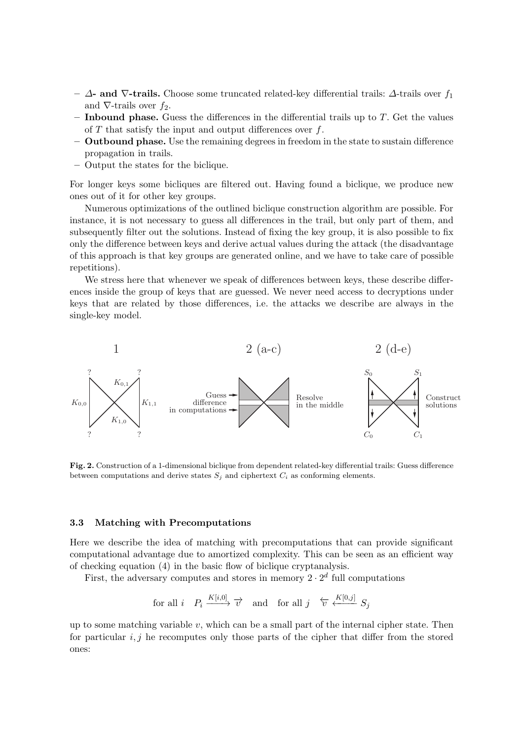- $-$  Δ- and  $\nabla$ -trails. Choose some truncated related-key differential trails: Δ-trails over  $f_1$ and  $\nabla$ -trails over  $f_2$ .
- $-$  Inbound phase. Guess the differences in the differential trails up to  $T$ . Get the values of  $T$  that satisfy the input and output differences over  $f$ .
- Outbound phase. Use the remaining degrees in freedom in the state to sustain difference propagation in trails.
- Output the states for the biclique.

For longer keys some bicliques are filtered out. Having found a biclique, we produce new ones out of it for other key groups.

Numerous optimizations of the outlined biclique construction algorithm are possible. For instance, it is not necessary to guess all differences in the trail, but only part of them, and subsequently filter out the solutions. Instead of fixing the key group, it is also possible to fix only the difference between keys and derive actual values during the attack (the disadvantage of this approach is that key groups are generated online, and we have to take care of possible repetitions).

We stress here that whenever we speak of differences between keys, these describe differences inside the group of keys that are guessed. We never need access to decryptions under keys that are related by those differences, i.e. the attacks we describe are always in the single-key model.



Fig. 2. Construction of a 1-dimensional biclique from dependent related-key differential trails: Guess difference between computations and derive states  $S_i$  and ciphertext  $C_i$  as conforming elements.

#### 3.3 Matching with Precomputations

Here we describe the idea of matching with precomputations that can provide significant computational advantage due to amortized complexity. This can be seen as an efficient way of checking equation (4) in the basic flow of biclique cryptanalysis.

First, the adversary computes and stores in memory  $2 \cdot 2^d$  full computations

$$
\text{for all } i \quad P_i \xrightarrow{K[i,0]} \overrightarrow{v} \quad \text{and} \quad \text{for all } j \quad \overleftarrow{v} \xleftarrow{K[0,j]} S_j
$$

up to some matching variable  $v$ , which can be a small part of the internal cipher state. Then for particular  $i, j$  he recomputes only those parts of the cipher that differ from the stored ones: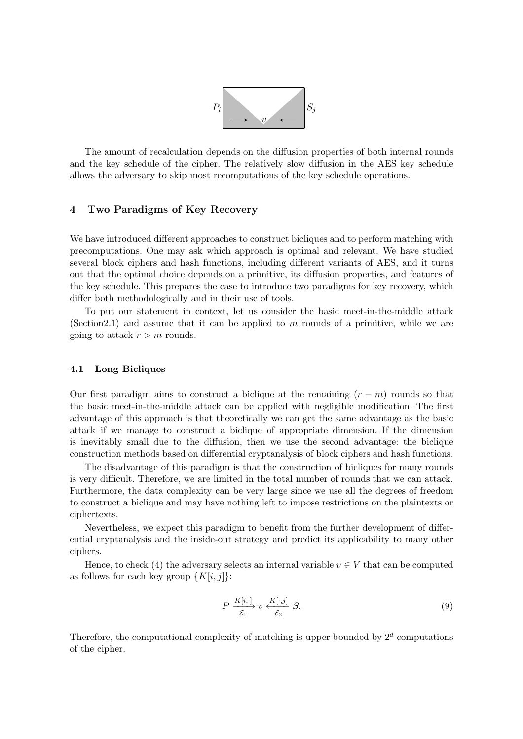

The amount of recalculation depends on the diffusion properties of both internal rounds and the key schedule of the cipher. The relatively slow diffusion in the AES key schedule allows the adversary to skip most recomputations of the key schedule operations.

# 4 Two Paradigms of Key Recovery

We have introduced different approaches to construct bicliques and to perform matching with precomputations. One may ask which approach is optimal and relevant. We have studied several block ciphers and hash functions, including different variants of AES, and it turns out that the optimal choice depends on a primitive, its diffusion properties, and features of the key schedule. This prepares the case to introduce two paradigms for key recovery, which differ both methodologically and in their use of tools.

To put our statement in context, let us consider the basic meet-in-the-middle attack (Section 2.1) and assume that it can be applied to  $m$  rounds of a primitive, while we are going to attack  $r > m$  rounds.

#### 4.1 Long Bicliques

Our first paradigm aims to construct a biclique at the remaining  $(r - m)$  rounds so that the basic meet-in-the-middle attack can be applied with negligible modification. The first advantage of this approach is that theoretically we can get the same advantage as the basic attack if we manage to construct a biclique of appropriate dimension. If the dimension is inevitably small due to the diffusion, then we use the second advantage: the biclique construction methods based on differential cryptanalysis of block ciphers and hash functions.

The disadvantage of this paradigm is that the construction of bicliques for many rounds is very difficult. Therefore, we are limited in the total number of rounds that we can attack. Furthermore, the data complexity can be very large since we use all the degrees of freedom to construct a biclique and may have nothing left to impose restrictions on the plaintexts or ciphertexts.

Nevertheless, we expect this paradigm to benefit from the further development of differential cryptanalysis and the inside-out strategy and predict its applicability to many other ciphers.

Hence, to check (4) the adversary selects an internal variable  $v \in V$  that can be computed as follows for each key group  $\{K[i, j]\}$ :

$$
P \xrightarrow{\overline{K[i,\cdot]}} v \xleftarrow{\overline{K[\cdot,j]}} S. \tag{9}
$$

Therefore, the computational complexity of matching is upper bounded by  $2^d$  computations of the cipher.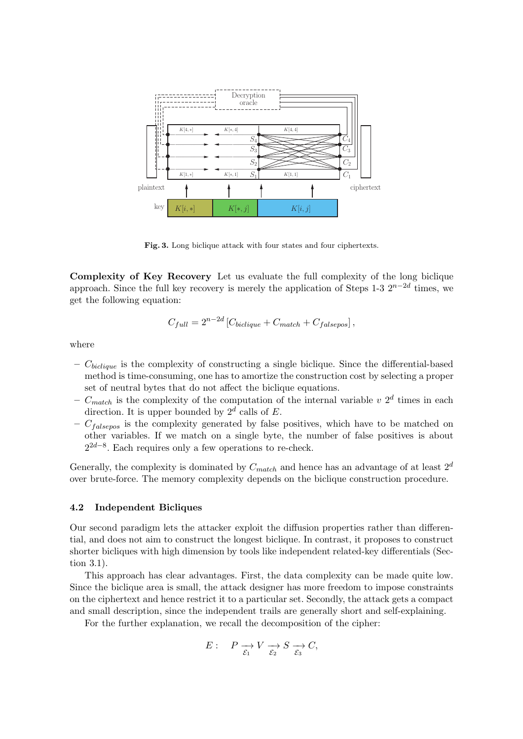

Fig. 3. Long biclique attack with four states and four ciphertexts.

Complexity of Key Recovery Let us evaluate the full complexity of the long biclique approach. Since the full key recovery is merely the application of Steps 1-3  $2^{n-2d}$  times, we get the following equation:

$$
C_{full} = 2^{n-2d} \left[ C_{biclique} + C_{match} + C_{falsepos} \right],
$$

where

- $C_{biclique}$  is the complexity of constructing a single biclique. Since the differential-based method is time-consuming, one has to amortize the construction cost by selecting a proper set of neutral bytes that do not affect the biclique equations.
- $C_{match}$  is the complexity of the computation of the internal variable v  $2<sup>d</sup>$  times in each direction. It is upper bounded by  $2^d$  calls of E.
- $C_{\text{falsepos}}$  is the complexity generated by false positives, which have to be matched on other variables. If we match on a single byte, the number of false positives is about  $2^{2d-8}$ . Each requires only a few operations to re-check.

Generally, the complexity is dominated by  $C_{match}$  and hence has an advantage of at least  $2^d$ over brute-force. The memory complexity depends on the biclique construction procedure.

#### 4.2 Independent Bicliques

Our second paradigm lets the attacker exploit the diffusion properties rather than differential, and does not aim to construct the longest biclique. In contrast, it proposes to construct shorter bicliques with high dimension by tools like independent related-key differentials (Section 3.1).

This approach has clear advantages. First, the data complexity can be made quite low. Since the biclique area is small, the attack designer has more freedom to impose constraints on the ciphertext and hence restrict it to a particular set. Secondly, the attack gets a compact and small description, since the independent trails are generally short and self-explaining.

For the further explanation, we recall the decomposition of the cipher:

$$
E: \quad P \xrightarrow[\mathcal{E}_1]{} V \xrightarrow[\mathcal{E}_2]{} S \xrightarrow[\mathcal{E}_3]{} C,
$$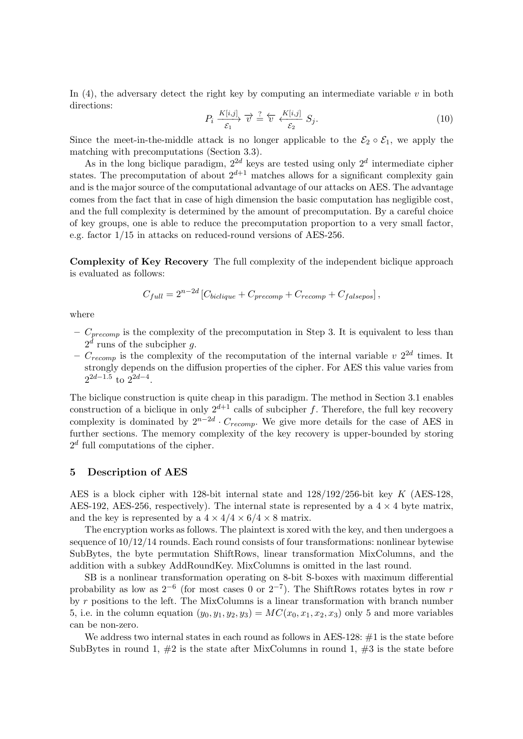In  $(4)$ , the adversary detect the right key by computing an intermediate variable v in both directions:

$$
P_i \xrightarrow[K[i,j]]{K[i,j]} \overrightarrow{v} \stackrel{?}{=} \overleftarrow{v} \xleftarrow[K[i,j]]{K[i,j]} S_j. \tag{10}
$$

Since the meet-in-the-middle attack is no longer applicable to the  $\mathcal{E}_2 \circ \mathcal{E}_1$ , we apply the matching with precomputations (Section 3.3).

As in the long biclique paradigm,  $2^{2d}$  keys are tested using only  $2^d$  intermediate cipher states. The precomputation of about  $2^{d+1}$  matches allows for a significant complexity gain and is the major source of the computational advantage of our attacks on AES. The advantage comes from the fact that in case of high dimension the basic computation has negligible cost, and the full complexity is determined by the amount of precomputation. By a careful choice of key groups, one is able to reduce the precomputation proportion to a very small factor, e.g. factor 1/15 in attacks on reduced-round versions of AES-256.

Complexity of Key Recovery The full complexity of the independent biclique approach is evaluated as follows:

$$
C_{full} = 2^{n-2d} \left[ C_{biclique} + C_{precomp} + C_{recomp} + C_{falsepos} \right],
$$

where

- $C_{precomp}$  is the complexity of the precomputation in Step 3. It is equivalent to less than  $2^d$  runs of the subcipher g.
- $C_{recomp}$  is the complexity of the recomputation of the internal variable v  $2^{2d}$  times. It strongly depends on the diffusion properties of the cipher. For AES this value varies from  $2^{2d-1.5}$  to  $2^{2d-4}$ .

The biclique construction is quite cheap in this paradigm. The method in Section 3.1 enables construction of a biclique in only  $2^{d+1}$  calls of subcipher f. Therefore, the full key recovery complexity is dominated by  $2^{n-2d} \cdot C_{recomp}$ . We give more details for the case of AES in further sections. The memory complexity of the key recovery is upper-bounded by storing  $2<sup>d</sup>$  full computations of the cipher.

#### 5 Description of AES

AES is a block cipher with 128-bit internal state and 128/192/256-bit key K (AES-128, AES-192, AES-256, respectively). The internal state is represented by a  $4 \times 4$  byte matrix, and the key is represented by a  $4 \times 4/4 \times 6/4 \times 8$  matrix.

The encryption works as follows. The plaintext is xored with the key, and then undergoes a sequence of 10/12/14 rounds. Each round consists of four transformations: nonlinear bytewise SubBytes, the byte permutation ShiftRows, linear transformation MixColumns, and the addition with a subkey AddRoundKey. MixColumns is omitted in the last round.

SB is a nonlinear transformation operating on 8-bit S-boxes with maximum differential probability as low as  $2^{-6}$  (for most cases 0 or  $2^{-7}$ ). The ShiftRows rotates bytes in row r by r positions to the left. The MixColumns is a linear transformation with branch number 5, i.e. in the column equation  $(y_0, y_1, y_2, y_3) = MC(x_0, x_1, x_2, x_3)$  only 5 and more variables can be non-zero.

We address two internal states in each round as follows in AES-128: #1 is the state before SubBytes in round 1,  $\#2$  is the state after MixColumns in round 1,  $\#3$  is the state before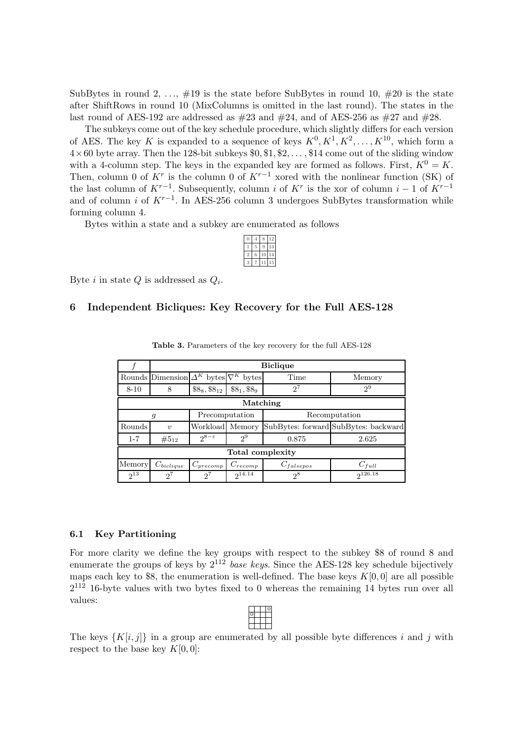SubBytes in round 2, ...,  $\#19$  is the state before SubBytes in round 10,  $\#20$  is the state after ShiftRows in round 10 (MixColumns is omitted in the last round). The states in the last round of AES-192 are addressed as  $\#23$  and  $\#24$ , and of AES-256 as  $\#27$  and  $\#28$ .

The subkeys come out of the key schedule procedure, which slightly differs for each version of AES. The key K is expanded to a sequence of keys  $K^0, K^1, K^2, \ldots, K^{10}$ , which form a  $4\times60$  byte array. Then the 128-bit subkeys \$0, \$1, \$2, ..., \$14 come out of the sliding window with a 4-column step. The keys in the expanded key are formed as follows. First,  $K^0 = K$ . Then, column 0 of  $K^r$  is the column 0 of  $K^{r-1}$  xored with the nonlinear function (SK) of the last column of  $K^{r-1}$ . Subsequently, column i of  $K^r$  is the xor of column i – 1 of  $K^{r-1}$ and of column i of  $K^{r-1}$ . In AES-256 column 3 undergoes SubBytes transformation while forming column 4.

Bytes within a state and a subkey are enumerated as follows

|  |  | 2              |
|--|--|----------------|
|  |  | 3              |
|  |  | $\overline{A}$ |
|  |  | 5              |

Byte *i* in state  $Q$  is addressed as  $Q_i$ .

# 6 Independent Bicliques: Key Recovery for the Full AES-128

|                  |                                                    |                     |              | <b>Biclique</b> |                                      |  |  |  |  |
|------------------|----------------------------------------------------|---------------------|--------------|-----------------|--------------------------------------|--|--|--|--|
|                  | Rounds Dimension $\Delta^K$ bytes $\nabla^K$ bytes |                     |              | Time            | Memory                               |  |  |  |  |
| $8 - 10$         | 8                                                  | $\$8_8, \$8_{12}$   | $$8_1, $8_9$ | $2^7$           | $2^9$                                |  |  |  |  |
|                  | Matching                                           |                     |              |                 |                                      |  |  |  |  |
|                  | g                                                  | Precomputation      |              | Recomputation   |                                      |  |  |  |  |
| Rounds           | $\boldsymbol{\eta}$                                | Workload Memory     |              |                 | SubBytes: forward SubBytes: backward |  |  |  |  |
| $1 - 7$          | $#5_{12}$                                          | $2^{8-\varepsilon}$ | $2^9$        | 0.875           | 2.625                                |  |  |  |  |
| Total complexity |                                                    |                     |              |                 |                                      |  |  |  |  |
| Memory           | $C_{biclique}$                                     | $C_{precomp}$       | $C_{recomp}$ | $C_{falsepos}$  | $C_{full}$                           |  |  |  |  |
| $2^{13}$         | $2^{7}$                                            | $2^{7}$             | $2^{14.14}$  | $2^8$           | 2126.18                              |  |  |  |  |

Table 3. Parameters of the key recovery for the full AES-128

#### 6.1 Key Partitioning

For more clarity we define the key groups with respect to the subkey \$8 of round 8 and enumerate the groups of keys by  $2^{112}$  base keys. Since the AES-128 key schedule bijectively maps each key to \$8, the enumeration is well-defined. The base keys  $K[0, 0]$  are all possible  $2^{112}$  16-byte values with two bytes fixed to 0 whereas the remaining 14 bytes run over all values:

The keys  $\{K[i,j]\}\$ in a group are enumerated by all possible byte differences i and j with respect to the base key  $K[0,0]$ :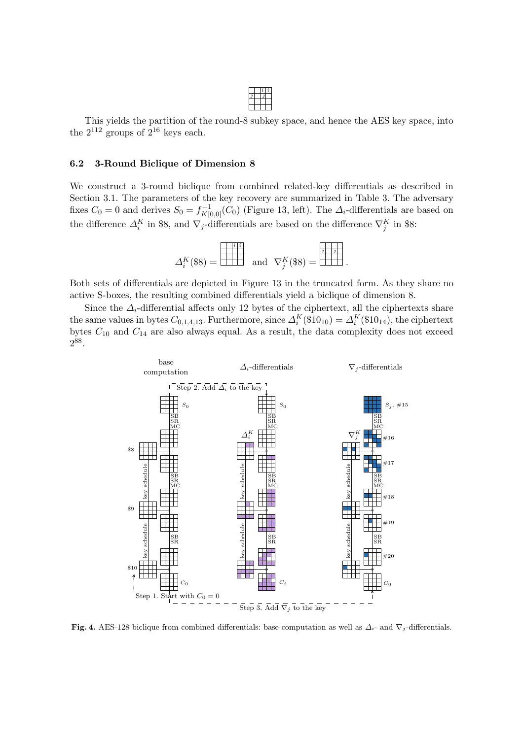This yields the partition of the round-8 subkey space, and hence the AES key space, into the  $2^{112}$  groups of  $2^{16}$  keys each.

#### 6.2 3-Round Biclique of Dimension 8

We construct a 3-round biclique from combined related-key differentials as described in Section 3.1. The parameters of the key recovery are summarized in Table 3. The adversary fixes  $C_0 = 0$  and derives  $S_0 = f_{K[0,0]}^{-1}(C_0)$  (Figure 13, left). The  $\Delta_i$ -differentials are based on the difference  $\Delta_i^K$  in \$8, and  $\nabla_j$ -differentials are based on the difference  $\nabla_j^K$  in \$8:

| $\Delta^K$ (\$8) = $\Box$ |  |  | and $\nabla^K(\$8) = \bigsqcup$ |  |  |  |
|---------------------------|--|--|---------------------------------|--|--|--|

.

Both sets of differentials are depicted in Figure 13 in the truncated form. As they share no active S-boxes, the resulting combined differentials yield a biclique of dimension 8.

Since the  $\Delta_i$ -differential affects only 12 bytes of the ciphertext, all the ciphertexts share the same values in bytes  $C_{0,1,4,13}$ . Furthermore, since  $\Delta_i^K(\$10_{10}) = \Delta_i^K(\$10_{14})$ , the ciphertext bytes  $C_{10}$  and  $C_{14}$  are also always equal. As a result, the data complexity does not exceed  $2^{88}$ .



**Fig. 4.** AES-128 biclique from combined differentials: base computation as well as  $\Delta_i$ - and  $\nabla_j$ -differentials.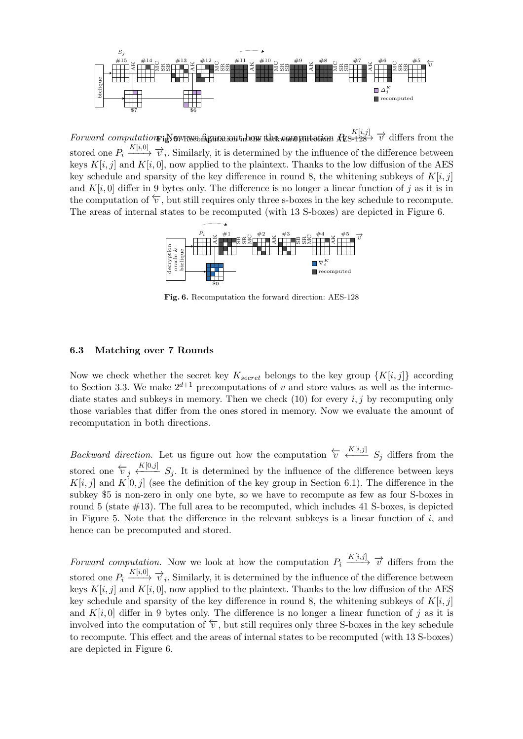

Forward computation **Fig.** 5. Now we figure out the backward put the strong  $R_{\rm E5-128}^{\rm K[i,j]}$   $\overrightarrow{v}$  differs from the stored one  $P_i \xrightarrow{K[i,0]} \overrightarrow{v}_i$ . Similarly, it is determined by the influence of the difference between keys  $K[i, j]$  and  $K[i, 0]$ , now applied to the plaintext. Thanks to the low diffusion of the AES key schedule and sparsity of the key difference in round 8, the whitening subkeys of  $K[i, j]$ and  $K[i, 0]$  differ in 9 bytes only. The difference is no longer a linear function of j as it is in the computation of  $\overleftarrow{v}$ , but still requires only three s-boxes in the key schedule to recompute. The areas of internal states to be recomputed (with 13 S-boxes) are depicted in Figure 6.



Fig. 6. Recomputation the forward direction: AES-128

# 6.3 Matching over 7 Rounds

Now we check whether the secret key  $K_{secret}$  belongs to the key group  $\{K[i, j]\}$  according to Section 3.3. We make  $2^{d+1}$  precomputations of v and store values as well as the intermediate states and subkeys in memory. Then we check  $(10)$  for every i, j by recomputing only those variables that differ from the ones stored in memory. Now we evaluate the amount of recomputation in both directions.

Backward direction. Let us figure out how the computation  $\overleftarrow{v} \stackrel{K[i,j]}{\longleftarrow} S_j$  differs from the stored one  $\overleftarrow{v}_j \stackrel{K[0,j]}{\longleftarrow} S_j$ . It is determined by the influence of the difference between keys  $K[i, j]$  and  $K[0, j]$  (see the definition of the key group in Section 6.1). The difference in the subkey \$5 is non-zero in only one byte, so we have to recompute as few as four S-boxes in round 5 (state  $\#13$ ). The full area to be recomputed, which includes 41 S-boxes, is depicted in Figure 5. Note that the difference in the relevant subkeys is a linear function of  $i$ , and hence can be precomputed and stored.

Forward computation. Now we look at how the computation  $P_i \xrightarrow{K[i,j]} \overrightarrow{v}$  differs from the stored one  $P_i \xrightarrow{K[i,0]} \overrightarrow{v}_i$ . Similarly, it is determined by the influence of the difference between keys  $K[i, j]$  and  $K[i, 0]$ , now applied to the plaintext. Thanks to the low diffusion of the AES key schedule and sparsity of the key difference in round 8, the whitening subkeys of  $K[i, j]$ and  $K[i, 0]$  differ in 9 bytes only. The difference is no longer a linear function of j as it is involved into the computation of  $\overleftarrow{v}$ , but still requires only three S-boxes in the key schedule to recompute. This effect and the areas of internal states to be recomputed (with 13 S-boxes) are depicted in Figure 6.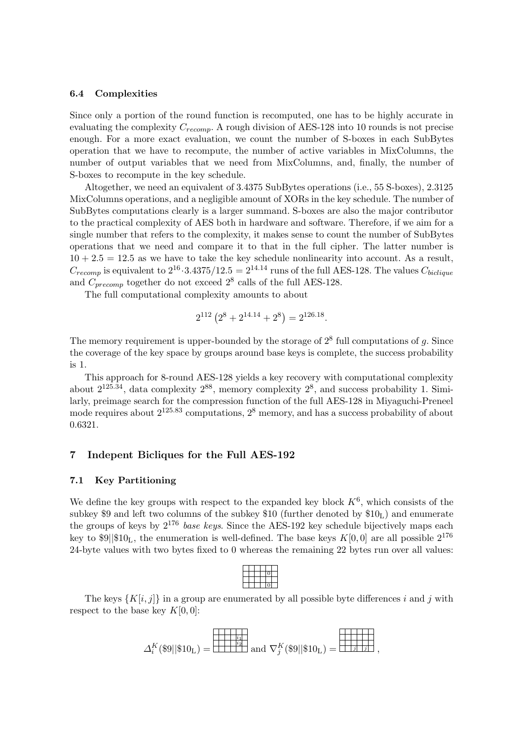#### 6.4 Complexities

Since only a portion of the round function is recomputed, one has to be highly accurate in evaluating the complexity  $C_{r\text{ecomp}}$ . A rough division of AES-128 into 10 rounds is not precise enough. For a more exact evaluation, we count the number of S-boxes in each SubBytes operation that we have to recompute, the number of active variables in MixColumns, the number of output variables that we need from MixColumns, and, finally, the number of S-boxes to recompute in the key schedule.

Altogether, we need an equivalent of 3.4375 SubBytes operations (i.e., 55 S-boxes), 2.3125 MixColumns operations, and a negligible amount of XORs in the key schedule. The number of SubBytes computations clearly is a larger summand. S-boxes are also the major contributor to the practical complexity of AES both in hardware and software. Therefore, if we aim for a single number that refers to the complexity, it makes sense to count the number of SubBytes operations that we need and compare it to that in the full cipher. The latter number is  $10 + 2.5 = 12.5$  as we have to take the key schedule nonlinearity into account. As a result,  $C_{recomp}$  is equivalent to  $2^{16} \cdot 3.4375/12.5 = 2^{14.14}$  runs of the full AES-128. The values  $C_{biclique}$ and  $C_{precomp}$  together do not exceed  $2^8$  calls of the full AES-128.

The full computational complexity amounts to about

$$
2^{112} (2^8 + 2^{14.14} + 2^8) = 2^{126.18}.
$$

The memory requirement is upper-bounded by the storage of  $2^8$  full computations of g. Since the coverage of the key space by groups around base keys is complete, the success probability is 1.

This approach for 8-round AES-128 yields a key recovery with computational complexity about  $2^{125.34}$ , data complexity  $2^{88}$ , memory complexity  $2^8$ , and success probability 1. Similarly, preimage search for the compression function of the full AES-128 in Miyaguchi-Preneel mode requires about  $2^{125.83}$  computations,  $2^8$  memory, and has a success probability of about 0.6321.

# 7 Indepent Bicliques for the Full AES-192

# 7.1 Key Partitioning

We define the key groups with respect to the expanded key block  $K^6$ , which consists of the subkey \$9 and left two columns of the subkey \$10 (further denoted by  $$10<sub>L</sub>$ ) and enumerate the groups of keys by  $2^{176}$  base keys. Since the AES-192 key schedule bijectively maps each key to  $\ell^3$ || $\ell^1$ , the enumeration is well-defined. The base keys  $K[0, 0]$  are all possible  $2^{176}$ 24-byte values with two bytes fixed to 0 whereas the remaining 22 bytes run over all values:

The keys  $\{K[i, j]\}$  in a group are enumerated by all possible byte differences i and j with respect to the base key  $K[0, 0]$ :

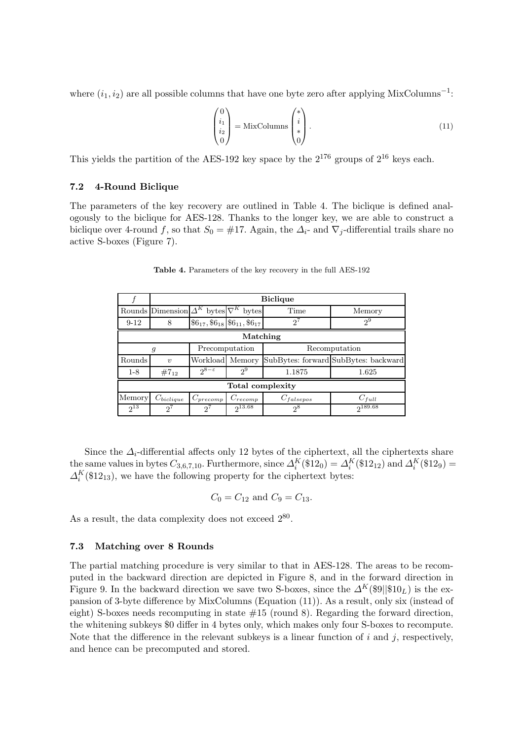where  $(i_1, i_2)$  are all possible columns that have one byte zero after applying MixColumns<sup>-1</sup>:

$$
\begin{pmatrix} 0 \\ i_1 \\ i_2 \\ 0 \end{pmatrix} = \text{MixColumns} \begin{pmatrix} * \\ i \\ * \\ 0 \end{pmatrix} . \tag{11}
$$

This yields the partition of the AES-192 key space by the  $2^{176}$  groups of  $2^{16}$  keys each.

# 7.2 4-Round Biclique

The parameters of the key recovery are outlined in Table 4. The biclique is defined analogously to the biclique for AES-128. Thanks to the longer key, we are able to construct a biclique over 4-round f, so that  $S_0 = #17$ . Again, the  $\Delta_i$ - and  $\nabla_i$ -differential trails share no active S-boxes (Figure 7).

|                  |                                                    | <b>Biclique</b>               |                                                          |                |                                      |  |  |  |
|------------------|----------------------------------------------------|-------------------------------|----------------------------------------------------------|----------------|--------------------------------------|--|--|--|
|                  | Rounds Dimension $\Delta^K$ bytes $\nabla^K$ bytes |                               |                                                          | Time           | Memory                               |  |  |  |
| $9 - 12$         | 8                                                  |                               | $$6_{17}, $6_{18}$ \$6 <sub>11</sub> , \$6 <sub>17</sub> | $2^{7}$        | $2^9$                                |  |  |  |
| Matching         |                                                    |                               |                                                          |                |                                      |  |  |  |
|                  | Precomputation<br>g                                |                               |                                                          | Recomputation  |                                      |  |  |  |
| Rounds           | $\boldsymbol{\eta}$                                | Workload Memory               |                                                          |                | SubBytes: forward SubBytes: backward |  |  |  |
| $1 - 8$          | $#7_{12}$                                          | $2^{8-\varepsilon}$           | $2^9$                                                    | 1.1875         | 1.625                                |  |  |  |
| Total complexity |                                                    |                               |                                                          |                |                                      |  |  |  |
| Memory           | $C_{biclique}$                                     | $C_{precomp}$<br>$C_{recomp}$ |                                                          | $C_{falsepos}$ | $C_{full}$                           |  |  |  |
| $2^{13}$         | $2^7$                                              | $2^{7}$                       | $2^{13.68}$                                              | $2^8$          | 2189.68                              |  |  |  |

Table 4. Parameters of the key recovery in the full AES-192

Since the  $\Delta_i$ -differential affects only 12 bytes of the ciphertext, all the ciphertexts share the same values in bytes  $C_{3,6,7,10}$ . Furthermore, since  $\Delta_i^K(\$12_0) = \Delta_i^K(\$12_{12})$  and  $\Delta_i^K(\$12_9) =$  $\Delta_i^K(\text{$12$}_{13})$ , we have the following property for the ciphertext bytes:

$$
C_0 = C_{12}
$$
 and  $C_9 = C_{13}$ .

As a result, the data complexity does not exceed  $2^{80}$ .

# 7.3 Matching over 8 Rounds

The partial matching procedure is very similar to that in AES-128. The areas to be recomputed in the backward direction are depicted in Figure 8, and in the forward direction in Figure 9. In the backward direction we save two S-boxes, since the  $\Delta^K(\$9\|\$10_L)$  is the expansion of 3-byte difference by MixColumns (Equation (11)). As a result, only six (instead of eight) S-boxes needs recomputing in state  $\#15$  (round 8). Regarding the forward direction, the whitening subkeys \$0 differ in 4 bytes only, which makes only four S-boxes to recompute. Note that the difference in the relevant subkeys is a linear function of  $i$  and  $j$ , respectively, and hence can be precomputed and stored.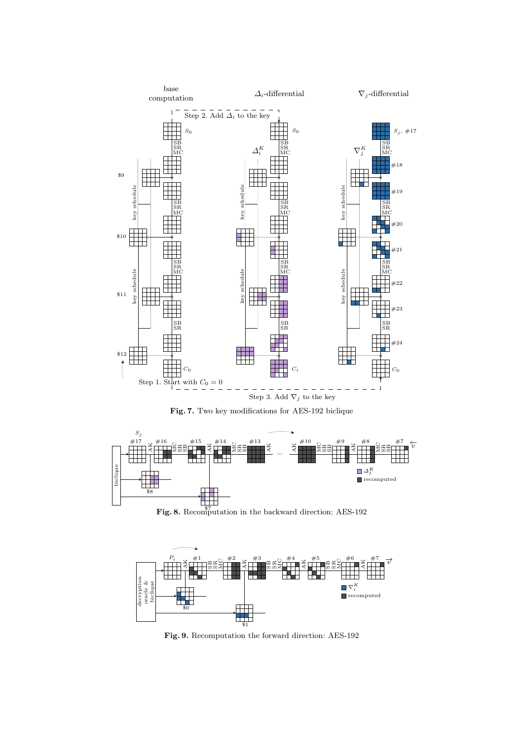

Fig. 7. Two key modifications for AES-192 biclique



Fig. 8. Recomputation in the backward direction: AES-192



Fig. 9. Recomputation the forward direction: AES-192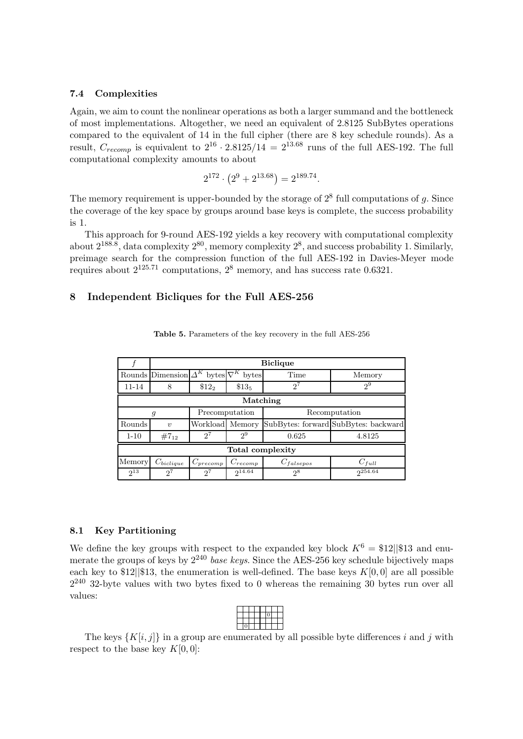#### 7.4 Complexities

Again, we aim to count the nonlinear operations as both a larger summand and the bottleneck of most implementations. Altogether, we need an equivalent of 2.8125 SubBytes operations compared to the equivalent of 14 in the full cipher (there are 8 key schedule rounds). As a result,  $C_{recomp}$  is equivalent to  $2^{16} \cdot 2.8125/14 = 2^{13.68}$  runs of the full AES-192. The full computational complexity amounts to about

$$
2^{172} \cdot (2^9 + 2^{13.68}) = 2^{189.74}.
$$

The memory requirement is upper-bounded by the storage of  $2^8$  full computations of g. Since the coverage of the key space by groups around base keys is complete, the success probability is 1.

This approach for 9-round AES-192 yields a key recovery with computational complexity about  $2^{188.8}$ , data complexity  $2^{80}$ , memory complexity  $2^8$ , and success probability 1. Similarly, preimage search for the compression function of the full AES-192 in Davies-Meyer mode requires about  $2^{125.71}$  computations,  $2^8$  memory, and has success rate 0.6321.

# 8 Independent Bicliques for the Full AES-256

|          |                                                    | <b>Biclique</b> |                |                |                                      |  |  |  |  |
|----------|----------------------------------------------------|-----------------|----------------|----------------|--------------------------------------|--|--|--|--|
|          | Rounds Dimension $\Delta^K$ bytes $\nabla^K$ bytes |                 |                | Time           | Memory                               |  |  |  |  |
| 11-14    | 8                                                  | $$12_2$         | $$13_5$        | $2^7$          | $2^9$                                |  |  |  |  |
|          | Matching                                           |                 |                |                |                                      |  |  |  |  |
|          | g                                                  |                 | Precomputation | Recomputation  |                                      |  |  |  |  |
| Rounds   | $\eta$                                             | Workload Memory |                |                | SubBytes: forward SubBytes: backward |  |  |  |  |
| $1 - 10$ | $#7_{12}$                                          | $2^7$           | $2^9$          | 0.625          | 4.8125                               |  |  |  |  |
|          | Total complexity                                   |                 |                |                |                                      |  |  |  |  |
| Memory   | $C_{biclique}$                                     | $C_{precomp}$   | $C_{recomp}$   | $C_{falsepos}$ | $C_{full}$                           |  |  |  |  |
| $2^{13}$ | $2^7$                                              | $2^7$           | $2^{14.64}$    | $2^8$          | $2^{254.64}$                         |  |  |  |  |

Table 5. Parameters of the key recovery in the full AES-256

#### 8.1 Key Partitioning

We define the key groups with respect to the expanded key block  $K^6 = $12||$13$  and enumerate the groups of keys by  $2^{240}$  base keys. Since the AES-256 key schedule bijectively maps each key to  $12|\$  13, the enumeration is well-defined. The base keys  $K[0, 0]$  are all possible  $2^{240}$  32-byte values with two bytes fixed to 0 whereas the remaining 30 bytes run over all values:

The keys  $\{K[i, j]\}$  in a group are enumerated by all possible byte differences i and j with respect to the base key  $K[0,0]$ :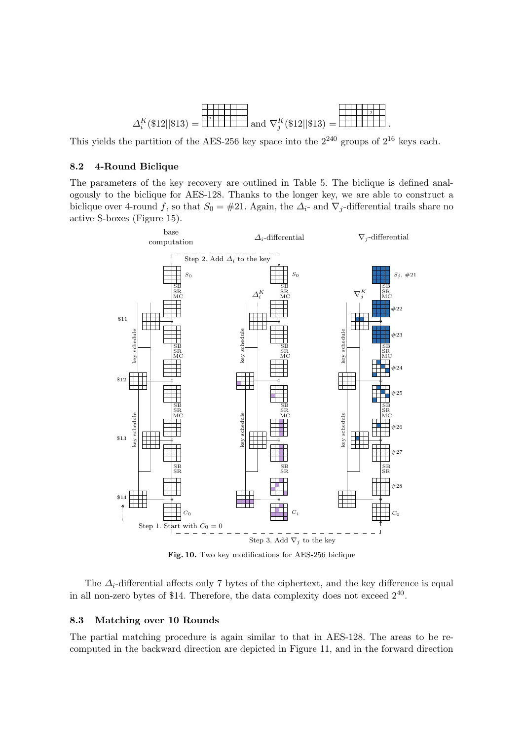

This yields the partition of the AES-256 key space into the  $2^{240}$  groups of  $2^{16}$  keys each.

#### 8.2 4-Round Biclique

The parameters of the key recovery are outlined in Table 5. The biclique is defined analogously to the biclique for AES-128. Thanks to the longer key, we are able to construct a biclique over 4-round f, so that  $S_0 = #21$ . Again, the  $\Delta_i$ - and  $\nabla_i$ -differential trails share no active S-boxes (Figure 15).



Fig. 10. Two key modifications for AES-256 biclique

The  $\Delta_i$ -differential affects only 7 bytes of the ciphertext, and the key difference is equal in all non-zero bytes of \$14. Therefore, the data complexity does not exceed  $2^{40}$ .

# 8.3 Matching over 10 Rounds

The partial matching procedure is again similar to that in AES-128. The areas to be recomputed in the backward direction are depicted in Figure 11, and in the forward direction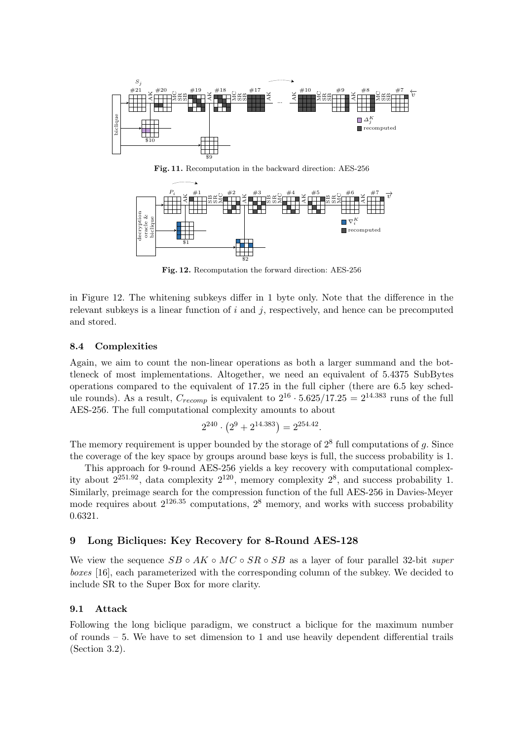

Fig. 11. Recomputation in the backward direction: AES-256



Fig. 12. Recomputation the forward direction: AES-256

in Figure 12. The whitening subkeys differ in 1 byte only. Note that the difference in the relevant subkeys is a linear function of  $i$  and  $j$ , respectively, and hence can be precomputed and stored.

#### 8.4 Complexities

Again, we aim to count the non-linear operations as both a larger summand and the bottleneck of most implementations. Altogether, we need an equivalent of 5.4375 SubBytes operations compared to the equivalent of 17.25 in the full cipher (there are 6.5 key schedule rounds). As a result,  $C_{recomp}$  is equivalent to  $2^{16} \cdot 5.625/17.25 = 2^{14.383}$  runs of the full AES-256. The full computational complexity amounts to about

$$
2^{240} \cdot (2^9 + 2^{14.383}) = 2^{254.42}
$$

.

The memory requirement is upper bounded by the storage of  $2<sup>8</sup>$  full computations of g. Since the coverage of the key space by groups around base keys is full, the success probability is 1.

This approach for 9-round AES-256 yields a key recovery with computational complexity about  $2^{251.92}$ , data complexity  $2^{120}$ , memory complexity  $2^8$ , and success probability 1. Similarly, preimage search for the compression function of the full AES-256 in Davies-Meyer mode requires about  $2^{126.35}$  computations,  $2^8$  memory, and works with success probability 0.6321.

# 9 Long Bicliques: Key Recovery for 8-Round AES-128

We view the sequence  $SB \circ AK \circ MC \circ SR \circ SB$  as a layer of four parallel 32-bit super boxes [16], each parameterized with the corresponding column of the subkey. We decided to include SR to the Super Box for more clarity.

# 9.1 Attack

Following the long biclique paradigm, we construct a biclique for the maximum number of rounds – 5. We have to set dimension to 1 and use heavily dependent differential trails (Section 3.2).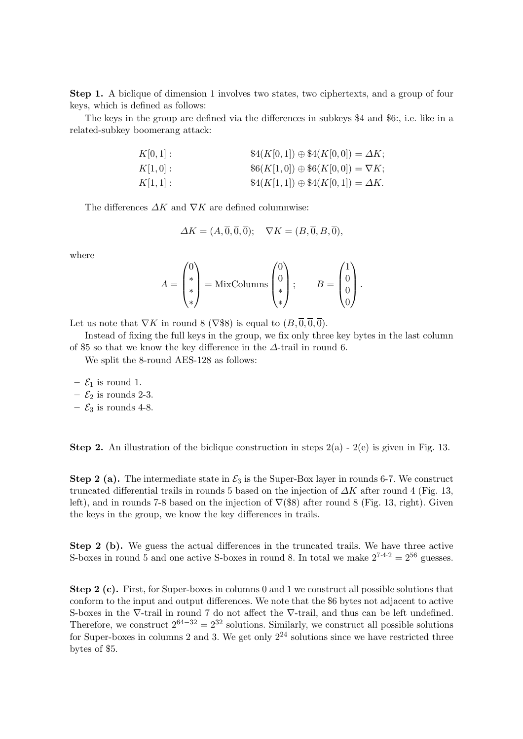Step 1. A biclique of dimension 1 involves two states, two ciphertexts, and a group of four keys, which is defined as follows:

The keys in the group are defined via the differences in subkeys \$4 and \$6:, i.e. like in a related-subkey boomerang attack:

> $K[0, 1]$  :  $\$\mathcal{A}(K[0, 1]) \oplus \mathcal{A}(K[0, 0]) = \Delta K;$  $K[1, 0]$ :  $\$6(K[1, 0]) \oplus \$6(K[0, 0]) = \nabla K;$  $K[1, 1]$  :  $$4(K[1, 1]) \oplus $4(K[0, 1]) = \Delta K.$

The differences  $\Delta K$  and  $\nabla K$  are defined columnwise:

$$
\Delta K = (A, \overline{0}, \overline{0}, \overline{0}); \quad \nabla K = (B, \overline{0}, B, \overline{0}),
$$

where

$$
A = \begin{pmatrix} 0 \\ * \\ * \end{pmatrix} = \text{MixColumns} \begin{pmatrix} 0 \\ 0 \\ * \end{pmatrix}; \qquad B = \begin{pmatrix} 1 \\ 0 \\ 0 \\ 0 \end{pmatrix}.
$$

Let us note that  $\nabla K$  in round 8 ( $\nabla$ \$8) is equal to  $(B, \overline{0}, \overline{0}, \overline{0})$ .

Instead of fixing the full keys in the group, we fix only three key bytes in the last column of \$5 so that we know the key difference in the  $\Delta$ -trail in round 6.

We split the 8-round AES-128 as follows:

- $\mathcal{E}_1$  is round 1.
- $\mathcal{E}_2$  is rounds 2-3.
- $\mathcal{E}_3$  is rounds 4-8.

**Step 2.** An illustration of the biclique construction in steps  $2(a) - 2(e)$  is given in Fig. 13.

**Step 2 (a).** The intermediate state in  $\mathcal{E}_3$  is the Super-Box layer in rounds 6-7. We construct truncated differential trails in rounds 5 based on the injection of  $\Delta K$  after round 4 (Fig. 13, left), and in rounds 7-8 based on the injection of  $\nabla$ (\$8) after round 8 (Fig. 13, right). Given the keys in the group, we know the key differences in trails.

Step 2 (b). We guess the actual differences in the truncated trails. We have three active S-boxes in round 5 and one active S-boxes in round 8. In total we make  $2^{7\cdot 4\cdot 2} = 2^{56}$  guesses.

Step 2 (c). First, for Super-boxes in columns 0 and 1 we construct all possible solutions that conform to the input and output differences. We note that the \$6 bytes not adjacent to active S-boxes in the ∇-trail in round 7 do not affect the ∇-trail, and thus can be left undefined. Therefore, we construct  $2^{64-32} = 2^{32}$  solutions. Similarly, we construct all possible solutions for Super-boxes in columns 2 and 3. We get only  $2^{24}$  solutions since we have restricted three bytes of \$5.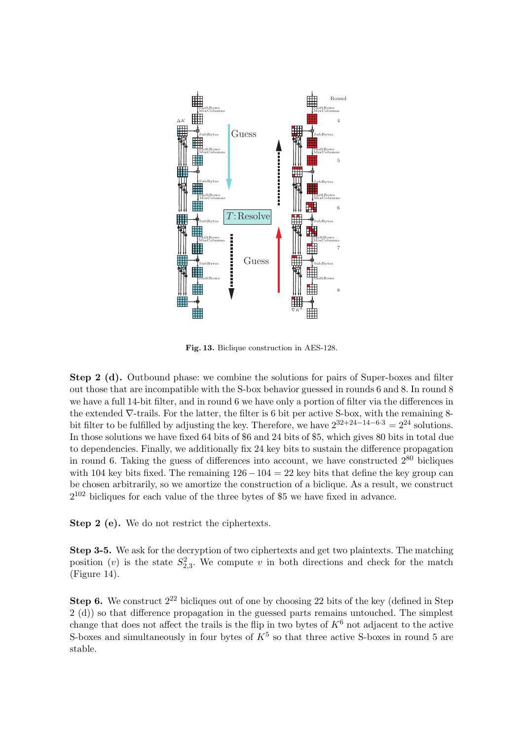

Fig. 13. Biclique construction in AES-128.

Step 2 (d). Outbound phase: we combine the solutions for pairs of Super-boxes and filter out those that are incompatible with the S-box behavior guessed in rounds 6 and 8. In round 8 we have a full 14-bit filter, and in round 6 we have only a portion of filter via the differences in the extended  $\nabla$ -trails. For the latter, the filter is 6 bit per active S-box, with the remaining 8bit filter to be fulfilled by adjusting the key. Therefore, we have  $2^{32+24-14-6\cdot3} = 2^{24}$  solutions. In those solutions we have fixed 64 bits of \$6 and 24 bits of \$5, which gives 80 bits in total due to dependencies. Finally, we additionally fix 24 key bits to sustain the difference propagation in round 6. Taking the guess of differences into account, we have constructed  $2^{80}$  bicliques with 104 key bits fixed. The remaining  $126-104=22$  key bits that define the key group can be chosen arbitrarily, so we amortize the construction of a biclique. As a result, we construct  $2^{102}$  bicliques for each value of the three bytes of \$5 we have fixed in advance.

Step 2 (e). We do not restrict the ciphertexts.

Step 3-5. We ask for the decryption of two ciphertexts and get two plaintexts. The matching position (*v*) is the state  $S_{2,3}^2$ . We compute *v* in both directions and check for the match (Figure 14).

**Step 6.** We construct  $2^{22}$  bicliques out of one by choosing 22 bits of the key (defined in Step 2 (d)) so that difference propagation in the guessed parts remains untouched. The simplest change that does not affect the trails is the flip in two bytes of  $K^6$  not adjacent to the active S-boxes and simultaneously in four bytes of  $K^5$  so that three active S-boxes in round 5 are stable.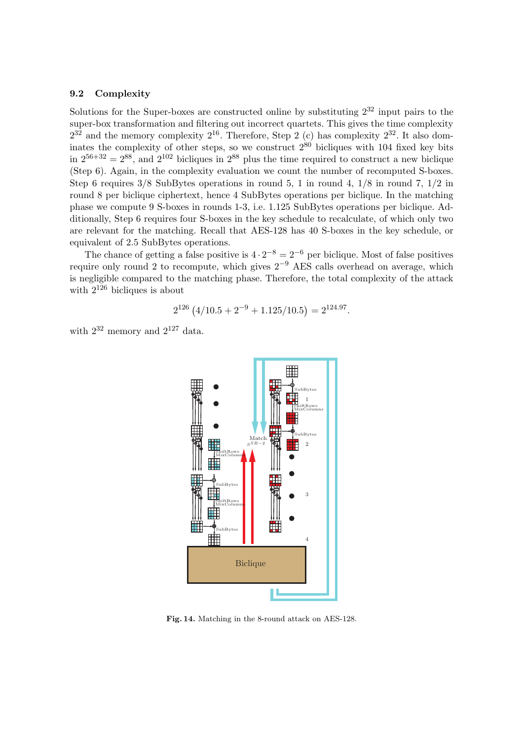# 9.2 Complexity

Solutions for the Super-boxes are constructed online by substituting  $2^{32}$  input pairs to the super-box transformation and filtering out incorrect quartets. This gives the time complexity  $2^{32}$  and the memory complexity  $2^{16}$ . Therefore, Step 2 (c) has complexity  $2^{32}$ . It also dominates the complexity of other steps, so we construct  $2^{80}$  bicliques with 104 fixed key bits in  $2^{56+32} = 2^{88}$ , and  $2^{102}$  bicliques in  $2^{88}$  plus the time required to construct a new biclique (Step 6). Again, in the complexity evaluation we count the number of recomputed S-boxes. Step 6 requires 3/8 SubBytes operations in round 5, 1 in round 4, 1/8 in round 7, 1/2 in round 8 per biclique ciphertext, hence 4 SubBytes operations per biclique. In the matching phase we compute 9 S-boxes in rounds 1-3, i.e. 1.125 SubBytes operations per biclique. Additionally, Step 6 requires four S-boxes in the key schedule to recalculate, of which only two are relevant for the matching. Recall that AES-128 has 40 S-boxes in the key schedule, or equivalent of 2.5 SubBytes operations.

The chance of getting a false positive is  $4 \cdot 2^{-8} = 2^{-6}$  per biclique. Most of false positives require only round 2 to recompute, which gives  $2^{-9}$  AES calls overhead on average, which is negligible compared to the matching phase. Therefore, the total complexity of the attack with  $2^{126}$  bicliques is about

$$
2^{126} (4/10.5 + 2^{-9} + 1.125/10.5) = 2^{124.97}.
$$

with  $2^{32}$  memory and  $2^{127}$  data.



Fig. 14. Matching in the 8-round attack on AES-128.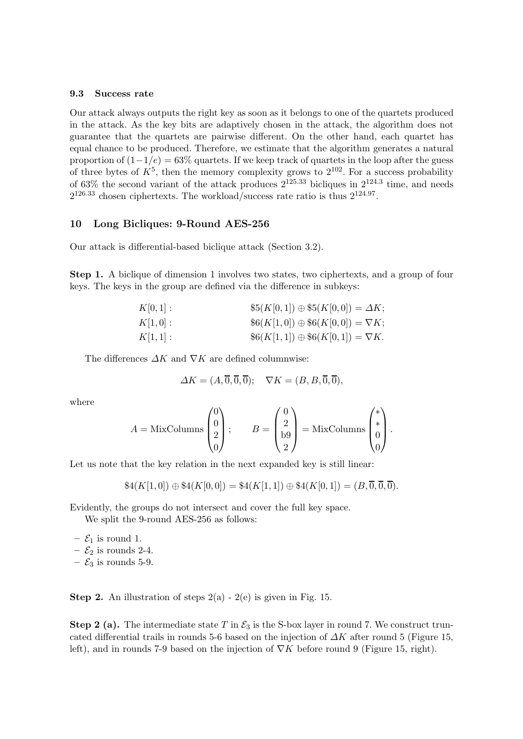#### 9.3 Success rate

Our attack always outputs the right key as soon as it belongs to one of the quartets produced in the attack. As the key bits are adaptively chosen in the attack, the algorithm does not guarantee that the quartets are pairwise different. On the other hand, each quartet has equal chance to be produced. Therefore, we estimate that the algorithm generates a natural proportion of  $(1-1/e) = 63\%$  quartets. If we keep track of quartets in the loop after the guess of three bytes of  $K^5$ , then the memory complexity grows to  $2^{102}$ . For a success probability of 63% the second variant of the attack produces  $2^{125.33}$  bicliques in  $2^{124.3}$  time, and needs  $2^{126.33}$  chosen ciphertexts. The workload/success rate ratio is thus  $2^{124.97}$ .

#### 10 Long Bicliques: 9-Round AES-256

Our attack is differential-based biclique attack (Section 3.2).

Step 1. A biclique of dimension 1 involves two states, two ciphertexts, and a group of four keys. The keys in the group are defined via the difference in subkeys:

| $K[0,1]$ : | $$5(K[0,1]) \oplus $5(K[0,0]) = \Delta K;$  |
|------------|---------------------------------------------|
| $K[1,0]$ : | $\$(K[1,0]) \oplus \$6(K[0,0]) = \nabla K;$ |
| K[1,1]:    | $$6(K[1,1]) \oplus $6(K[0,1]) = \nabla K.$  |

The differences  $\Delta K$  and  $\nabla K$  are defined columnwise:

$$
\Delta K = (A, \overline{0}, \overline{0}, \overline{0}); \quad \nabla K = (B, B, \overline{0}, \overline{0}),
$$

where

$$
A = \text{MixColumns}\begin{pmatrix} 0 \\ 0 \\ 2 \\ 0 \end{pmatrix}; \qquad B = \begin{pmatrix} 0 \\ 2 \\ 59 \\ 2 \end{pmatrix} = \text{MixColumns}\begin{pmatrix} * \\ * \\ 0 \\ 0 \end{pmatrix}.
$$

Let us note that the key relation in the next expanded key is still linear:

$$
\$4(K[1,0]) \oplus \$4(K[0,0]) = \$4(K[1,1]) \oplus \$4(K[0,1]) = (B,\overline{0},\overline{0},\overline{0}).
$$

Evidently, the groups do not intersect and cover the full key space.

We split the 9-round AES-256 as follows:

 $- \mathcal{E}_1$  is round 1.

- $\mathcal{E}_2$  is rounds 2-4.
- $\mathcal{E}_3$  is rounds 5-9.

**Step 2.** An illustration of steps  $2(a) - 2(e)$  is given in Fig. 15.

**Step 2 (a).** The intermediate state T in  $\mathcal{E}_3$  is the S-box layer in round 7. We construct truncated differential trails in rounds 5-6 based on the injection of  $\Delta K$  after round 5 (Figure 15, left), and in rounds 7-9 based on the injection of  $\nabla K$  before round 9 (Figure 15, right).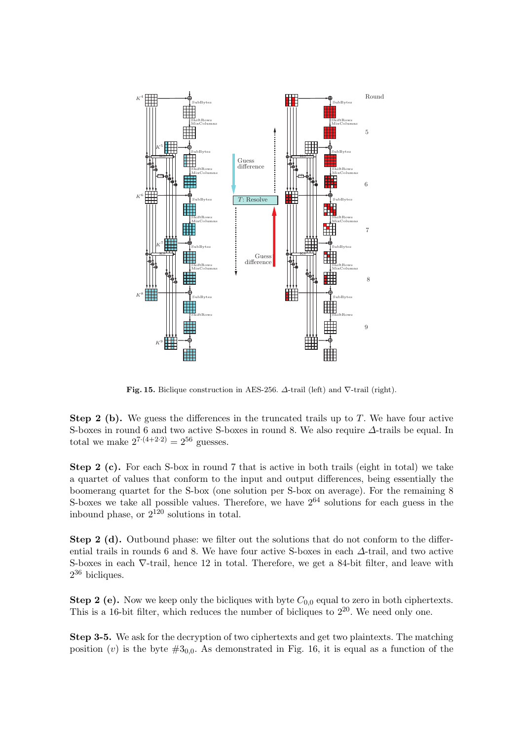

Fig. 15. Biclique construction in AES-256.  $\Delta$ -trail (left) and  $\nabla$ -trail (right).

**Step 2 (b).** We guess the differences in the truncated trails up to  $T$ . We have four active S-boxes in round 6 and two active S-boxes in round 8. We also require ∆-trails be equal. In total we make  $2^{7 \cdot (4+2 \cdot 2)} = 2^{56}$  guesses.

Step 2 (c). For each S-box in round 7 that is active in both trails (eight in total) we take a quartet of values that conform to the input and output differences, being essentially the boomerang quartet for the S-box (one solution per S-box on average). For the remaining 8 S-boxes we take all possible values. Therefore, we have  $2^{64}$  solutions for each guess in the inbound phase, or  $2^{120}$  solutions in total.

Step 2 (d). Outbound phase: we filter out the solutions that do not conform to the differential trails in rounds 6 and 8. We have four active S-boxes in each ∆-trail, and two active S-boxes in each ∇-trail, hence 12 in total. Therefore, we get a 84-bit filter, and leave with 2 <sup>36</sup> bicliques.

Step 2 (e). Now we keep only the bicliques with byte  $C_{0,0}$  equal to zero in both ciphertexts. This is a 16-bit filter, which reduces the number of bicliques to  $2^{20}$ . We need only one.

Step 3-5. We ask for the decryption of two ciphertexts and get two plaintexts. The matching position (v) is the byte  $\#3_{0,0}$ . As demonstrated in Fig. 16, it is equal as a function of the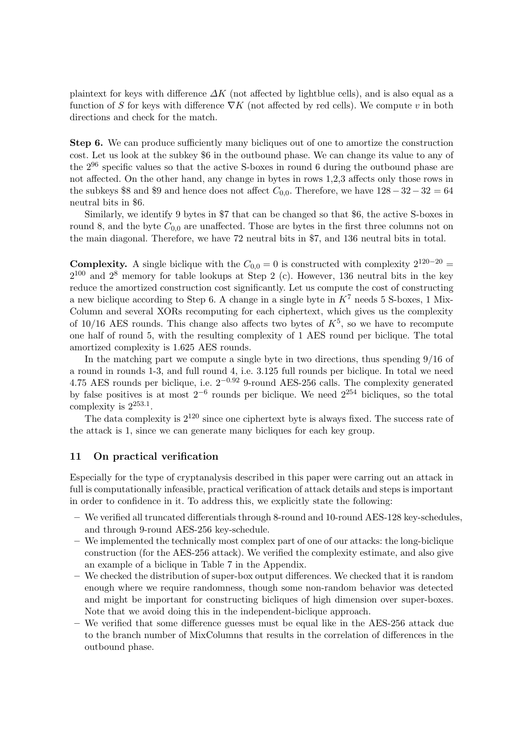plaintext for keys with difference  $\Delta K$  (not affected by lightblue cells), and is also equal as a function of S for keys with difference  $\nabla K$  (not affected by red cells). We compute v in both directions and check for the match.

Step 6. We can produce sufficiently many bicliques out of one to amortize the construction cost. Let us look at the subkey \$6 in the outbound phase. We can change its value to any of the 2<sup>96</sup> specific values so that the active S-boxes in round 6 during the outbound phase are not affected. On the other hand, any change in bytes in rows 1,2,3 affects only those rows in the subkeys \$8 and \$9 and hence does not affect  $C_{0,0}$ . Therefore, we have  $128-32-32=64$ neutral bits in \$6.

Similarly, we identify 9 bytes in \$7 that can be changed so that \$6, the active S-boxes in round 8, and the byte  $C_{0,0}$  are unaffected. Those are bytes in the first three columns not on the main diagonal. Therefore, we have 72 neutral bits in \$7, and 136 neutral bits in total.

**Complexity.** A single biclique with the  $C_{0,0} = 0$  is constructed with complexity  $2^{120-20} =$  $2^{100}$  and  $2^8$  memory for table lookups at Step 2 (c). However, 136 neutral bits in the key reduce the amortized construction cost significantly. Let us compute the cost of constructing a new biclique according to Step 6. A change in a single byte in  $K^7$  needs 5 S-boxes, 1 Mix-Column and several XORs recomputing for each ciphertext, which gives us the complexity of  $10/16$  AES rounds. This change also affects two bytes of  $K^5$ , so we have to recompute one half of round 5, with the resulting complexity of 1 AES round per biclique. The total amortized complexity is 1.625 AES rounds.

In the matching part we compute a single byte in two directions, thus spending 9/16 of a round in rounds 1-3, and full round 4, i.e. 3.125 full rounds per biclique. In total we need 4.75 AES rounds per biclique, i.e.  $2^{-0.92}$  9-round AES-256 calls. The complexity generated by false positives is at most  $2^{-6}$  rounds per biclique. We need  $2^{254}$  bicliques, so the total complexity is  $2^{253.1}$ .

The data complexity is  $2^{120}$  since one ciphertext byte is always fixed. The success rate of the attack is 1, since we can generate many bicliques for each key group.

# 11 On practical verification

Especially for the type of cryptanalysis described in this paper were carring out an attack in full is computationally infeasible, practical verification of attack details and steps is important in order to confidence in it. To address this, we explicitly state the following:

- We verified all truncated differentials through 8-round and 10-round AES-128 key-schedules, and through 9-round AES-256 key-schedule.
- We implemented the technically most complex part of one of our attacks: the long-biclique construction (for the AES-256 attack). We verified the complexity estimate, and also give an example of a biclique in Table 7 in the Appendix.
- We checked the distribution of super-box output differences. We checked that it is random enough where we require randomness, though some non-random behavior was detected and might be important for constructing bicliques of high dimension over super-boxes. Note that we avoid doing this in the independent-biclique approach.
- We verified that some difference guesses must be equal like in the AES-256 attack due to the branch number of MixColumns that results in the correlation of differences in the outbound phase.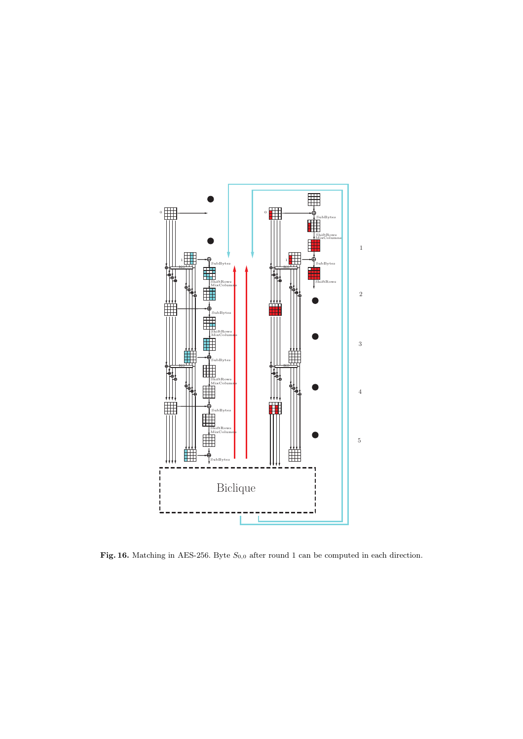

Fig. 16. Matching in AES-256. Byte  $S_{0,0}$  after round 1 can be computed in each direction.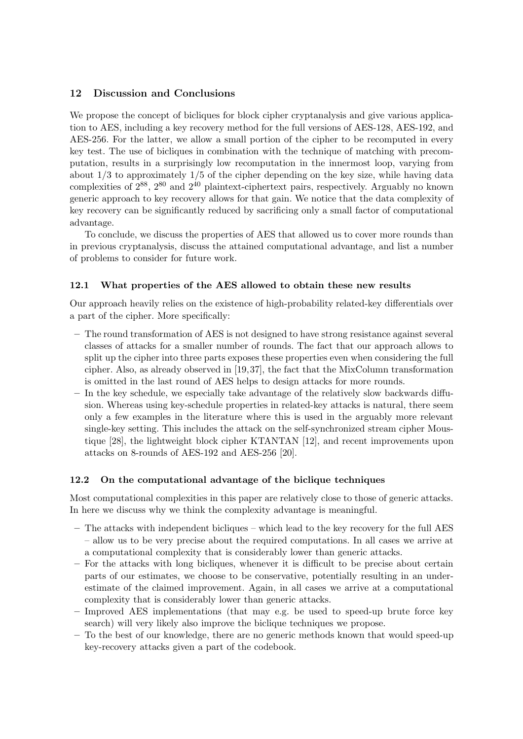# 12 Discussion and Conclusions

We propose the concept of bicliques for block cipher cryptanalysis and give various application to AES, including a key recovery method for the full versions of AES-128, AES-192, and AES-256. For the latter, we allow a small portion of the cipher to be recomputed in every key test. The use of bicliques in combination with the technique of matching with precomputation, results in a surprisingly low recomputation in the innermost loop, varying from about  $1/3$  to approximately  $1/5$  of the cipher depending on the key size, while having data complexities of  $2^{88}$ ,  $2^{80}$  and  $2^{40}$  plaintext-ciphertext pairs, respectively. Arguably no known generic approach to key recovery allows for that gain. We notice that the data complexity of key recovery can be significantly reduced by sacrificing only a small factor of computational advantage.

To conclude, we discuss the properties of AES that allowed us to cover more rounds than in previous cryptanalysis, discuss the attained computational advantage, and list a number of problems to consider for future work.

# 12.1 What properties of the AES allowed to obtain these new results

Our approach heavily relies on the existence of high-probability related-key differentials over a part of the cipher. More specifically:

- The round transformation of AES is not designed to have strong resistance against several classes of attacks for a smaller number of rounds. The fact that our approach allows to split up the cipher into three parts exposes these properties even when considering the full cipher. Also, as already observed in [19,37], the fact that the MixColumn transformation is omitted in the last round of AES helps to design attacks for more rounds.
- In the key schedule, we especially take advantage of the relatively slow backwards diffusion. Whereas using key-schedule properties in related-key attacks is natural, there seem only a few examples in the literature where this is used in the arguably more relevant single-key setting. This includes the attack on the self-synchronized stream cipher Moustique [28], the lightweight block cipher KTANTAN [12], and recent improvements upon attacks on 8-rounds of AES-192 and AES-256 [20].

# 12.2 On the computational advantage of the biclique techniques

Most computational complexities in this paper are relatively close to those of generic attacks. In here we discuss why we think the complexity advantage is meaningful.

- The attacks with independent bicliques which lead to the key recovery for the full AES – allow us to be very precise about the required computations. In all cases we arrive at a computational complexity that is considerably lower than generic attacks.
- For the attacks with long bicliques, whenever it is difficult to be precise about certain parts of our estimates, we choose to be conservative, potentially resulting in an underestimate of the claimed improvement. Again, in all cases we arrive at a computational complexity that is considerably lower than generic attacks.
- Improved AES implementations (that may e.g. be used to speed-up brute force key search) will very likely also improve the biclique techniques we propose.
- To the best of our knowledge, there are no generic methods known that would speed-up key-recovery attacks given a part of the codebook.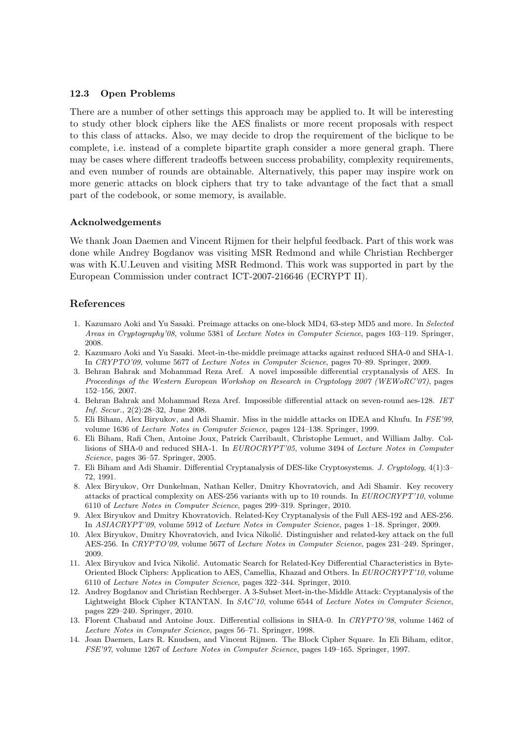# 12.3 Open Problems

There are a number of other settings this approach may be applied to. It will be interesting to study other block ciphers like the AES finalists or more recent proposals with respect to this class of attacks. Also, we may decide to drop the requirement of the biclique to be complete, i.e. instead of a complete bipartite graph consider a more general graph. There may be cases where different tradeoffs between success probability, complexity requirements, and even number of rounds are obtainable. Alternatively, this paper may inspire work on more generic attacks on block ciphers that try to take advantage of the fact that a small part of the codebook, or some memory, is available.

# Acknolwedgements

We thank Joan Daemen and Vincent Rijmen for their helpful feedback. Part of this work was done while Andrey Bogdanov was visiting MSR Redmond and while Christian Rechberger was with K.U.Leuven and visiting MSR Redmond. This work was supported in part by the European Commission under contract ICT-2007-216646 (ECRYPT II).

# References

- 1. Kazumaro Aoki and Yu Sasaki. Preimage attacks on one-block MD4, 63-step MD5 and more. In *Selected Areas in Cryptography'08*, volume 5381 of *Lecture Notes in Computer Science*, pages 103–119. Springer, 2008.
- 2. Kazumaro Aoki and Yu Sasaki. Meet-in-the-middle preimage attacks against reduced SHA-0 and SHA-1. In *CRYPTO'09*, volume 5677 of *Lecture Notes in Computer Science*, pages 70–89. Springer, 2009.
- 3. Behran Bahrak and Mohammad Reza Aref. A novel impossible differential cryptanalysis of AES. In *Proceedings of the Western European Workshop on Research in Cryptology 2007 (WEWoRC'07)*, pages 152–156, 2007.
- 4. Behran Bahrak and Mohammad Reza Aref. Impossible differential attack on seven-round aes-128. *IET Inf. Secur.*, 2(2):28–32, June 2008.
- 5. Eli Biham, Alex Biryukov, and Adi Shamir. Miss in the middle attacks on IDEA and Khufu. In *FSE'99*, volume 1636 of *Lecture Notes in Computer Science*, pages 124–138. Springer, 1999.
- 6. Eli Biham, Rafi Chen, Antoine Joux, Patrick Carribault, Christophe Lemuet, and William Jalby. Collisions of SHA-0 and reduced SHA-1. In *EUROCRYPT'05*, volume 3494 of *Lecture Notes in Computer Science*, pages 36–57. Springer, 2005.
- 7. Eli Biham and Adi Shamir. Differential Cryptanalysis of DES-like Cryptosystems. *J. Cryptology*, 4(1):3– 72, 1991.
- 8. Alex Biryukov, Orr Dunkelman, Nathan Keller, Dmitry Khovratovich, and Adi Shamir. Key recovery attacks of practical complexity on AES-256 variants with up to 10 rounds. In *EUROCRYPT'10*, volume 6110 of *Lecture Notes in Computer Science*, pages 299–319. Springer, 2010.
- 9. Alex Biryukov and Dmitry Khovratovich. Related-Key Cryptanalysis of the Full AES-192 and AES-256. In *ASIACRYPT'09*, volume 5912 of *Lecture Notes in Computer Science*, pages 1–18. Springer, 2009.
- 10. Alex Biryukov, Dmitry Khovratovich, and Ivica Nikolić. Distinguisher and related-key attack on the full AES-256. In *CRYPTO'09*, volume 5677 of *Lecture Notes in Computer Science*, pages 231–249. Springer, 2009.
- 11. Alex Biryukov and Ivica Nikolić. Automatic Search for Related-Key Differential Characteristics in Byte-Oriented Block Ciphers: Application to AES, Camellia, Khazad and Others. In *EUROCRYPT'10*, volume 6110 of *Lecture Notes in Computer Science*, pages 322–344. Springer, 2010.
- 12. Andrey Bogdanov and Christian Rechberger. A 3-Subset Meet-in-the-Middle Attack: Cryptanalysis of the Lightweight Block Cipher KTANTAN. In *SAC'10*, volume 6544 of *Lecture Notes in Computer Science*, pages 229–240. Springer, 2010.
- 13. Florent Chabaud and Antoine Joux. Differential collisions in SHA-0. In *CRYPTO'98*, volume 1462 of *Lecture Notes in Computer Science*, pages 56–71. Springer, 1998.
- 14. Joan Daemen, Lars R. Knudsen, and Vincent Rijmen. The Block Cipher Square. In Eli Biham, editor, *FSE'97*, volume 1267 of *Lecture Notes in Computer Science*, pages 149–165. Springer, 1997.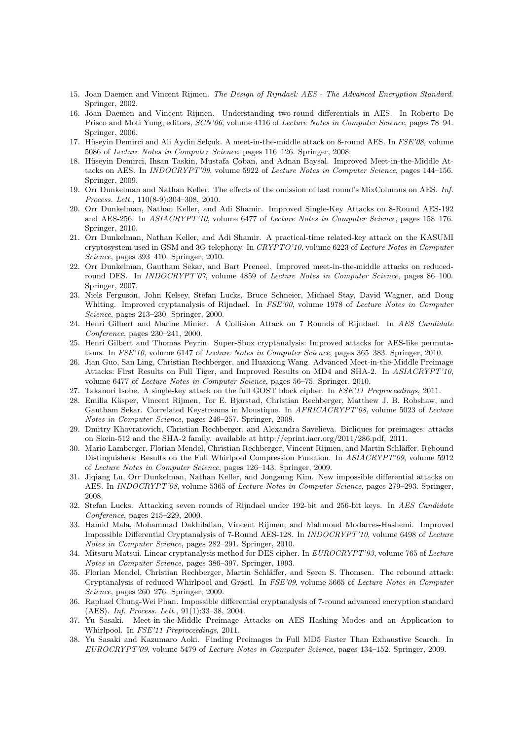- 15. Joan Daemen and Vincent Rijmen. *The Design of Rijndael: AES The Advanced Encryption Standard*. Springer, 2002.
- 16. Joan Daemen and Vincent Rijmen. Understanding two-round differentials in AES. In Roberto De Prisco and Moti Yung, editors, *SCN'06*, volume 4116 of *Lecture Notes in Computer Science*, pages 78–94. Springer, 2006.
- 17. Hüseyin Demirci and Ali Aydin Selçuk. A meet-in-the-middle attack on 8-round AES. In *FSE'08*, volume 5086 of *Lecture Notes in Computer Science*, pages 116–126. Springer, 2008.
- 18. Hüseyin Demirci, Ihsan Taskin, Mustafa Çoban, and Adnan Baysal. Improved Meet-in-the-Middle Attacks on AES. In *INDOCRYPT'09*, volume 5922 of *Lecture Notes in Computer Science*, pages 144–156. Springer, 2009.
- 19. Orr Dunkelman and Nathan Keller. The effects of the omission of last round's MixColumns on AES. *Inf. Process. Lett.*, 110(8-9):304–308, 2010.
- 20. Orr Dunkelman, Nathan Keller, and Adi Shamir. Improved Single-Key Attacks on 8-Round AES-192 and AES-256. In *ASIACRYPT'10*, volume 6477 of *Lecture Notes in Computer Science*, pages 158–176. Springer, 2010.
- 21. Orr Dunkelman, Nathan Keller, and Adi Shamir. A practical-time related-key attack on the KASUMI cryptosystem used in GSM and 3G telephony. In *CRYPTO'10*, volume 6223 of *Lecture Notes in Computer Science*, pages 393–410. Springer, 2010.
- 22. Orr Dunkelman, Gautham Sekar, and Bart Preneel. Improved meet-in-the-middle attacks on reducedround DES. In *INDOCRYPT'07*, volume 4859 of *Lecture Notes in Computer Science*, pages 86–100. Springer, 2007.
- 23. Niels Ferguson, John Kelsey, Stefan Lucks, Bruce Schneier, Michael Stay, David Wagner, and Doug Whiting. Improved cryptanalysis of Rijndael. In *FSE'00*, volume 1978 of *Lecture Notes in Computer Science*, pages 213–230. Springer, 2000.
- 24. Henri Gilbert and Marine Minier. A Collision Attack on 7 Rounds of Rijndael. In *AES Candidate Conference*, pages 230–241, 2000.
- 25. Henri Gilbert and Thomas Peyrin. Super-Sbox cryptanalysis: Improved attacks for AES-like permutations. In *FSE'10*, volume 6147 of *Lecture Notes in Computer Science*, pages 365–383. Springer, 2010.
- 26. Jian Guo, San Ling, Christian Rechberger, and Huaxiong Wang. Advanced Meet-in-the-Middle Preimage Attacks: First Results on Full Tiger, and Improved Results on MD4 and SHA-2. In *ASIACRYPT'10*, volume 6477 of *Lecture Notes in Computer Science*, pages 56–75. Springer, 2010.
- 27. Takanori Isobe. A single-key attack on the full GOST block cipher. In *FSE'11 Preproceedings*, 2011.
- 28. Emilia K¨asper, Vincent Rijmen, Tor E. Bjørstad, Christian Rechberger, Matthew J. B. Robshaw, and Gautham Sekar. Correlated Keystreams in Moustique. In *AFRICACRYPT'08*, volume 5023 of *Lecture Notes in Computer Science*, pages 246–257. Springer, 2008.
- 29. Dmitry Khovratovich, Christian Rechberger, and Alexandra Savelieva. Bicliques for preimages: attacks on Skein-512 and the SHA-2 family. available at http://eprint.iacr.org/2011/286.pdf, 2011.
- 30. Mario Lamberger, Florian Mendel, Christian Rechberger, Vincent Rijmen, and Martin Schläffer. Rebound Distinguishers: Results on the Full Whirlpool Compression Function. In *ASIACRYPT'09*, volume 5912 of *Lecture Notes in Computer Science*, pages 126–143. Springer, 2009.
- 31. Jiqiang Lu, Orr Dunkelman, Nathan Keller, and Jongsung Kim. New impossible differential attacks on AES. In *INDOCRYPT'08*, volume 5365 of *Lecture Notes in Computer Science*, pages 279–293. Springer, 2008.
- 32. Stefan Lucks. Attacking seven rounds of Rijndael under 192-bit and 256-bit keys. In *AES Candidate Conference*, pages 215–229, 2000.
- 33. Hamid Mala, Mohammad Dakhilalian, Vincent Rijmen, and Mahmoud Modarres-Hashemi. Improved Impossible Differential Cryptanalysis of 7-Round AES-128. In *INDOCRYPT'10*, volume 6498 of *Lecture Notes in Computer Science*, pages 282–291. Springer, 2010.
- 34. Mitsuru Matsui. Linear cryptanalysis method for DES cipher. In *EUROCRYPT'93*, volume 765 of *Lecture Notes in Computer Science*, pages 386–397. Springer, 1993.
- 35. Florian Mendel, Christian Rechberger, Martin Schläffer, and Søren S. Thomsen. The rebound attack: Cryptanalysis of reduced Whirlpool and Grøstl. In *FSE'09*, volume 5665 of *Lecture Notes in Computer Science*, pages 260–276. Springer, 2009.
- 36. Raphael Chung-Wei Phan. Impossible differential cryptanalysis of 7-round advanced encryption standard (AES). *Inf. Process. Lett.*, 91(1):33–38, 2004.
- 37. Yu Sasaki. Meet-in-the-Middle Preimage Attacks on AES Hashing Modes and an Application to Whirlpool. In *FSE'11 Preproceedings*, 2011.
- 38. Yu Sasaki and Kazumaro Aoki. Finding Preimages in Full MD5 Faster Than Exhaustive Search. In *EUROCRYPT'09*, volume 5479 of *Lecture Notes in Computer Science*, pages 134–152. Springer, 2009.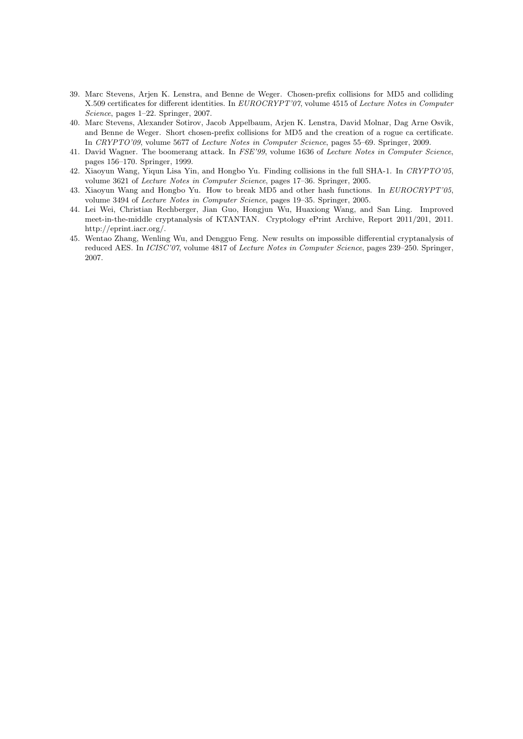- 39. Marc Stevens, Arjen K. Lenstra, and Benne de Weger. Chosen-prefix collisions for MD5 and colliding X.509 certificates for different identities. In *EUROCRYPT'07*, volume 4515 of *Lecture Notes in Computer Science*, pages 1–22. Springer, 2007.
- 40. Marc Stevens, Alexander Sotirov, Jacob Appelbaum, Arjen K. Lenstra, David Molnar, Dag Arne Osvik, and Benne de Weger. Short chosen-prefix collisions for MD5 and the creation of a rogue ca certificate. In *CRYPTO'09*, volume 5677 of *Lecture Notes in Computer Science*, pages 55–69. Springer, 2009.
- 41. David Wagner. The boomerang attack. In *FSE'99*, volume 1636 of *Lecture Notes in Computer Science*, pages 156–170. Springer, 1999.
- 42. Xiaoyun Wang, Yiqun Lisa Yin, and Hongbo Yu. Finding collisions in the full SHA-1. In *CRYPTO'05*, volume 3621 of *Lecture Notes in Computer Science*, pages 17–36. Springer, 2005.
- 43. Xiaoyun Wang and Hongbo Yu. How to break MD5 and other hash functions. In *EUROCRYPT'05*, volume 3494 of *Lecture Notes in Computer Science*, pages 19–35. Springer, 2005.
- 44. Lei Wei, Christian Rechberger, Jian Guo, Hongjun Wu, Huaxiong Wang, and San Ling. Improved meet-in-the-middle cryptanalysis of KTANTAN. Cryptology ePrint Archive, Report 2011/201, 2011. http://eprint.iacr.org/.
- 45. Wentao Zhang, Wenling Wu, and Dengguo Feng. New results on impossible differential cryptanalysis of reduced AES. In *ICISC'07*, volume 4817 of *Lecture Notes in Computer Science*, pages 239–250. Springer, 2007.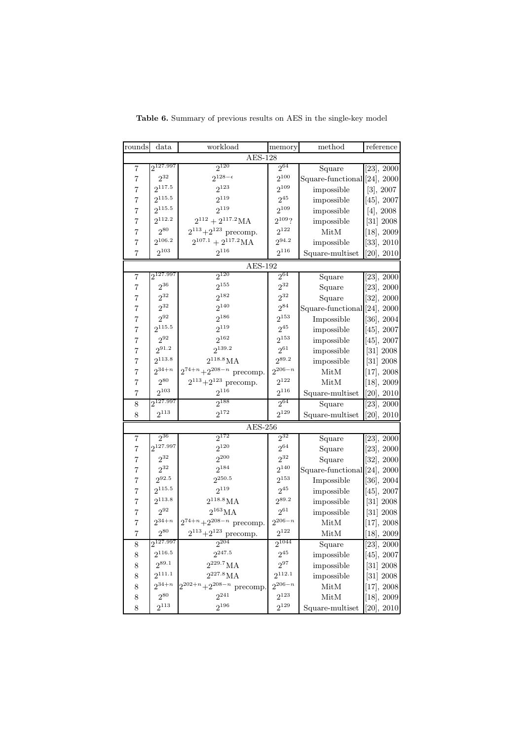| rounds         | data          | workload                                                        | memory                 | method                       | $% \left( \left\langle \cdot ,\cdot \right\rangle _{\mathcal{A}}\right) =\left( \left\langle \cdot ,\cdot \right\rangle _{\mathcal{A}}\right)$ reference |  |  |
|----------------|---------------|-----------------------------------------------------------------|------------------------|------------------------------|----------------------------------------------------------------------------------------------------------------------------------------------------------|--|--|
| <b>AES-128</b> |               |                                                                 |                        |                              |                                                                                                                                                          |  |  |
| 7              | $2^{127.997}$ | $2^{120}$                                                       | $2^{64}$               | Square                       | $[23]$ , 2000                                                                                                                                            |  |  |
| $\overline{7}$ | $2^{32}$      | $2^{128-\epsilon}$                                              | $2^{100}$              | Square-functional [24], 2000 |                                                                                                                                                          |  |  |
| $\overline{7}$ | $2^{117.5}$   | $2^{123}$                                                       | $2^{109}$              | impossible                   | [3], 2007                                                                                                                                                |  |  |
| $\overline{7}$ | $2^{115.5}$   | $2^{119}$                                                       | $2^{45}$               | impossible                   | $[45]$ , 2007                                                                                                                                            |  |  |
| $\overline{7}$ | $2^{115.5}$   | $2^{119}$                                                       | $2^{109}$              | impossible                   | [4], 2008                                                                                                                                                |  |  |
| $\overline{7}$ | $2^{112.2}$   | $2^{112} + 2^{117.2}$ MA                                        | $2^{109}$ ?            | impossible                   | [31] 2008                                                                                                                                                |  |  |
| $\overline{7}$ | $2^{80}$      | $2^{113}+2^{123}$ precomp.                                      | $2^{122}$              | MitM                         | $[18]$ , 2009                                                                                                                                            |  |  |
| $\overline{7}$ | $2^{106.2}$   | $2^{107.1} + 2^{117.2}$ MA                                      | $2^{94.2}$             | impossible                   | $[33]$ , 2010                                                                                                                                            |  |  |
| $\overline{7}$ | $2^{103}\,$   | $2^{116}$                                                       | $2^{116}$              | Square-multiset              | $[20]$ , $2010$                                                                                                                                          |  |  |
|                |               | AES-192                                                         |                        |                              |                                                                                                                                                          |  |  |
| 7              | $2^{127.997}$ | $2^{120}$                                                       | $2^{64}$               | Square                       | [23], 2000                                                                                                                                               |  |  |
| $\overline{7}$ | $2^{36}$      | $2^{155}$                                                       | $2^{32}$               | Square                       | [23], 2000                                                                                                                                               |  |  |
| $\overline{7}$ | $2^{32}$      | $2^{182}$                                                       | $2^{32}$               | Square                       | $[32]$ , 2000                                                                                                                                            |  |  |
| $\overline{7}$ | $2^{32}$      | $2^{140}$                                                       | $2^{84}$               | Square-functional [24], 2000 |                                                                                                                                                          |  |  |
| $\overline{7}$ | $2^{92}$      | $2^{186}$                                                       | $2^{153}$              | Impossible                   | $[36]$ , 2004                                                                                                                                            |  |  |
| $\overline{7}$ | $2^{115.5}$   | $2^{119}$                                                       | $2^{45}$               | impossible                   | $[45]$ , 2007                                                                                                                                            |  |  |
| $\overline{7}$ | $2^{92}$      | $2^{162}$                                                       | $2^{153}$              | impossible                   | $[45]$ , 2007                                                                                                                                            |  |  |
| $\overline{7}$ | $2^{91.2}$    | $2^{139.2}$                                                     | $2^{61}$               | impossible                   | [31] 2008                                                                                                                                                |  |  |
| $\overline{7}$ | $2^{113.8}$   | $2^{118.8}MA$                                                   | $2^{89.2}$             | impossible                   | [31] 2008                                                                                                                                                |  |  |
| $\overline{7}$ | $2^{34+n}$    | $2^{74+n}+2^{208-n}$ precomp.                                   | $2^{206-n}$            | MitM                         | $[17]$ , 2008                                                                                                                                            |  |  |
| $\overline{7}$ | $2^{80}$      | $2^{113}\!+\!2^{123}$ precomp.                                  | $2^{122}$              | $\operatorname{MitM}$        | $[18]$ , 2009                                                                                                                                            |  |  |
| $\overline{7}$ | $2^{103}$     | $2^{116}$                                                       | $2^{116}$              | Square-multiset              | [20], 2010                                                                                                                                               |  |  |
| 8              | $2^{127.997}$ | $2^{188}$                                                       | $2^{64}$               | Square                       | [23], 2000                                                                                                                                               |  |  |
| 8              | $2^{113}$     | $2^{172}$                                                       | $2^{129}$              | Square-multiset              | [20], 2010                                                                                                                                               |  |  |
| $AES-256$      |               |                                                                 |                        |                              |                                                                                                                                                          |  |  |
|                | $2^{36}$      | $2^{172}$                                                       | $2^{32}$               |                              |                                                                                                                                                          |  |  |
| 7              | $2^{127.997}$ | $2^{120}$                                                       | $2^{64}$               | Square                       | [23], 2000                                                                                                                                               |  |  |
| $\overline{7}$ | $2^{32}$      | $2^{200}$                                                       | $2^{32}$               | Square                       | $[23]$ , $2000$                                                                                                                                          |  |  |
| $\overline{7}$ | $2^{32}$      | $2^{184}$                                                       | $2^{140}$              | Square                       | $[32]$ , 2000                                                                                                                                            |  |  |
| $\overline{7}$ | $2^{92.5}$    | $2^{250.5}$                                                     | $2^{153}\,$            | Square-functional [24], 2000 |                                                                                                                                                          |  |  |
| $\overline{7}$ | $2^{115.5}$   | $2^{119}$                                                       |                        | Impossible                   | $[36]$ , 2004                                                                                                                                            |  |  |
| $\overline{7}$ | $2^{113.8}$   | $2^{118.8}MA$                                                   | $2^{45}$<br>$2^{89.2}$ | impossible                   | $[45]$ , 2007                                                                                                                                            |  |  |
| $\rm 7$        | $2^{92}$      | $2^{163}{\rm MA}$                                               | $2^{61}\,$             | impossible                   | [31] 2008                                                                                                                                                |  |  |
| $\overline{7}$ | $2^{34+n}$    |                                                                 | $2^{206-n}$            | impossible                   | [31] 2008                                                                                                                                                |  |  |
| $\overline{7}$ | $2^{80}$      | $2^{74+n} \hspace{-0.5mm} + \hspace{-0.5mm} 2^{208-n}$ precomp. | $2^{122}$              | MitM                         | [17], 2008                                                                                                                                               |  |  |
| $\overline{7}$ |               | $2^{113}+2^{123}$ precomp.                                      |                        | MitM                         | $[18]$ , 2009                                                                                                                                            |  |  |
| 8              | $2^{127.997}$ | $2^{204}$                                                       | $2^{1044}$             | Square                       | [23], 2000                                                                                                                                               |  |  |
| 8              | $2^{116.5}$   | $2^{247.5}$                                                     | $2^{45}$               | impossible                   | $[45]$ , 2007                                                                                                                                            |  |  |
| 8              | $2^{89.1}$    | $2^{229.7}\rm MA$                                               | $2^{97}$               | impossible                   | [31] 2008                                                                                                                                                |  |  |
| 8              | $2^{111.1}$   | $2^{227.8}MA$                                                   | $2^{112.1}$            | impossible                   | [31] 2008                                                                                                                                                |  |  |
| 8              | $2^{34+n}$    | $2^{202+n}+2^{208-n}$ precomp.                                  | $2^{206-n}$            | $\operatorname{MitM}$        | [17], 2008                                                                                                                                               |  |  |
| 8              | $2^{80}$      | $2^{241}$                                                       | $2^{123}$              | $\operatorname{MitM}$        | $[18]$ , 2009                                                                                                                                            |  |  |
| 8              | $2^{113}$     | $2^{196}$                                                       | $2^{129}$              | Square-multiset              | [20], 2010                                                                                                                                               |  |  |

Table 6. Summary of previous results on AES in the single-key model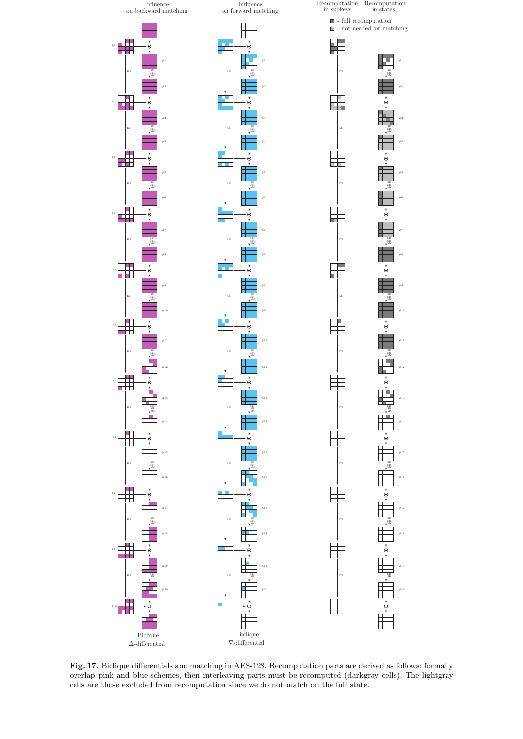

Fig. 17. Biclique differentials and matching in AES-128. Recomputation parts are derived as follows: formally overlap pink and blue schemes, then interleaving parts must be recomputed (darkgray cells). The lightgray cells are those excluded from recomputation since we do not match on the full state.